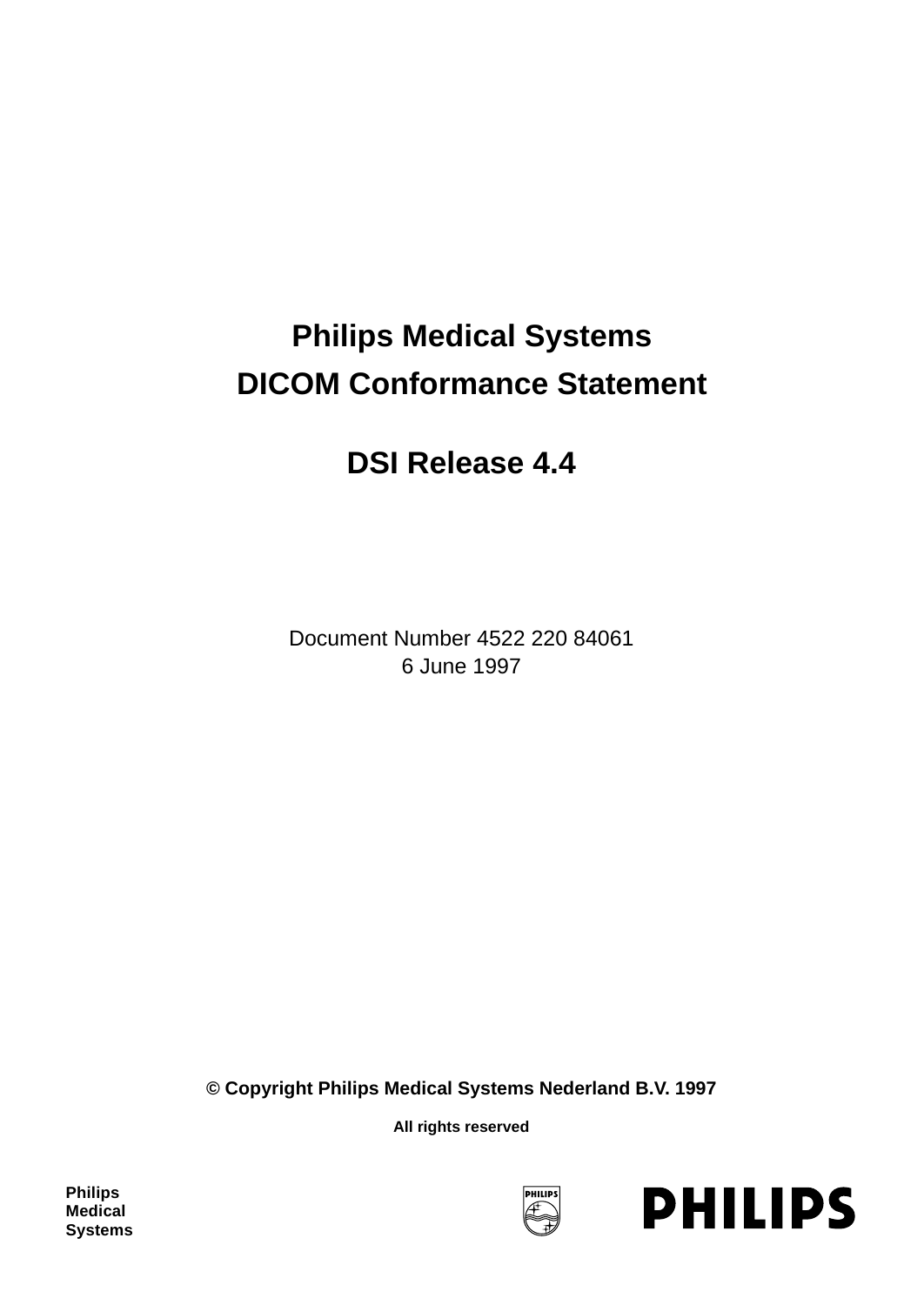# **Philips Medical Systems DICOM Conformance Statement**

# **DSI Release 4.4**

Document Number 4522 220 84061 6 June 1997

**© Copyright Philips Medical Systems Nederland B.V. 1997**

**All rights reserved**

**Philips Medical Systems**



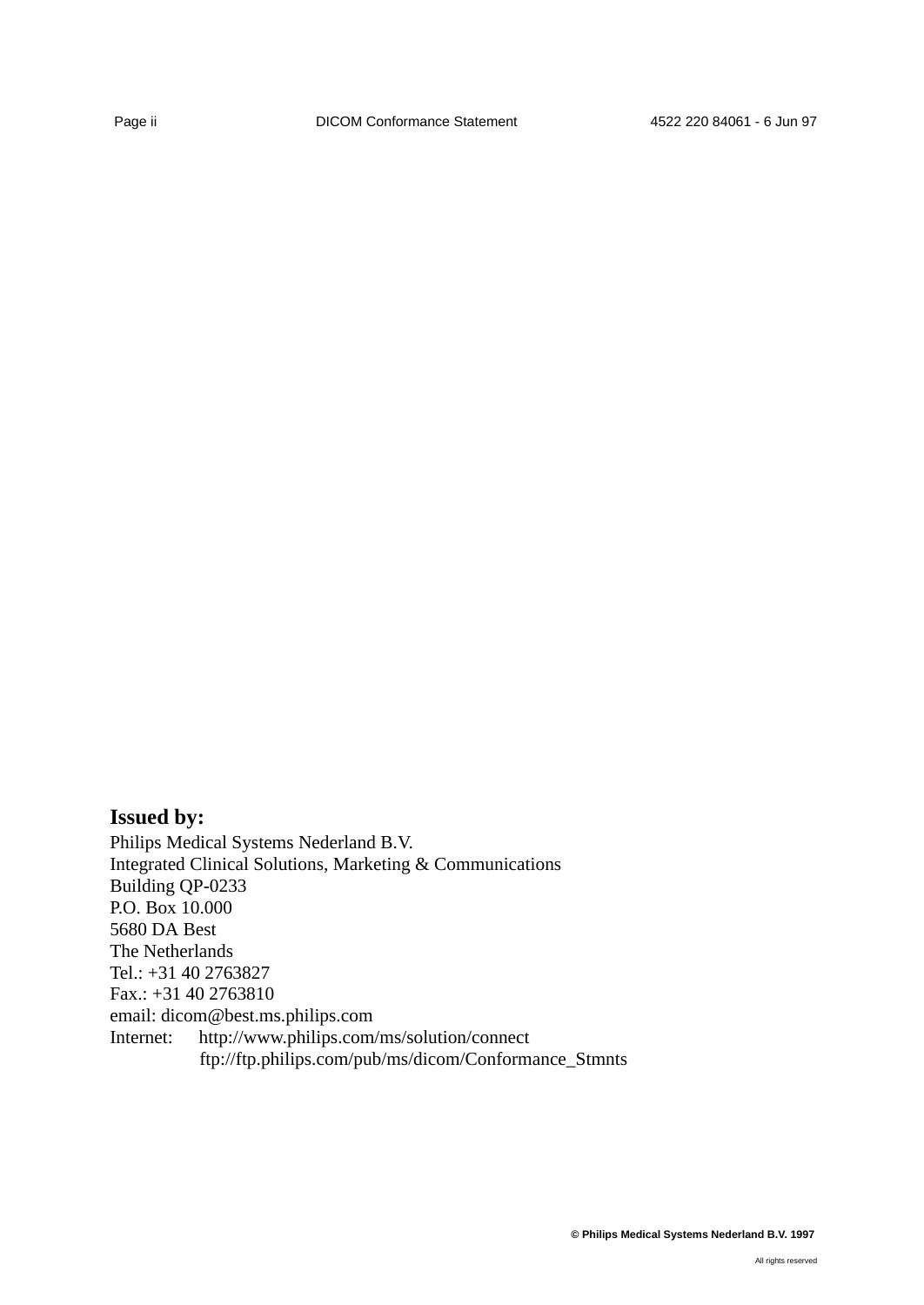# **Issued by:**

Philips Medical Systems Nederland B.V. Integrated Clinical Solutions, Marketing & Communications Building QP-0233 P.O. Box 10.000 5680 DA Best The Netherlands Tel.: +31 40 2763827 Fax.: +31 40 2763810 email: dicom@best.ms.philips.com Internet: http://www.philips.com/ms/solution/connect ftp://ftp.philips.com/pub/ms/dicom/Conformance\_Stmnts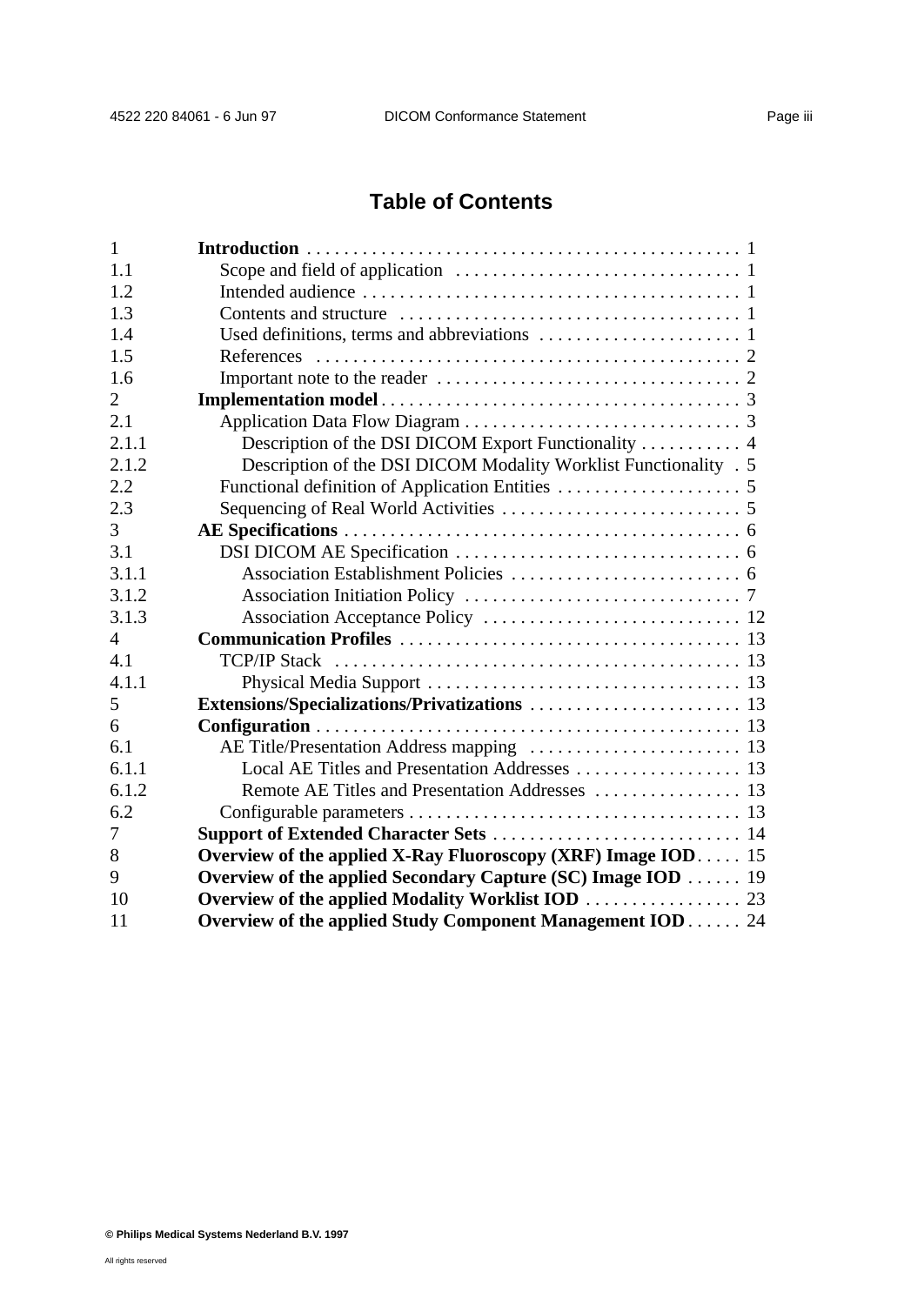# **Table of Contents**

| $\mathbf{1}$   |                                                                                                    |  |
|----------------|----------------------------------------------------------------------------------------------------|--|
| 1.1            | Scope and field of application $\dots \dots \dots \dots \dots \dots \dots \dots \dots \dots \dots$ |  |
| 1.2            |                                                                                                    |  |
| 1.3            |                                                                                                    |  |
| 1.4            |                                                                                                    |  |
| 1.5            |                                                                                                    |  |
| 1.6            |                                                                                                    |  |
| 2              |                                                                                                    |  |
| 2.1            |                                                                                                    |  |
| 2.1.1          | Description of the DSI DICOM Export Functionality  4                                               |  |
| 2.1.2          | Description of the DSI DICOM Modality Worklist Functionality . 5                                   |  |
| 2.2            |                                                                                                    |  |
| 2.3            |                                                                                                    |  |
| 3              |                                                                                                    |  |
| 3.1            |                                                                                                    |  |
| 3.1.1          |                                                                                                    |  |
| 3.1.2          |                                                                                                    |  |
| 3.1.3          |                                                                                                    |  |
| $\overline{4}$ |                                                                                                    |  |
| 4.1            |                                                                                                    |  |
| 4.1.1          |                                                                                                    |  |
| 5              |                                                                                                    |  |
| 6              |                                                                                                    |  |
| 6.1            | AE Title/Presentation Address mapping  13                                                          |  |
| 6.1.1          |                                                                                                    |  |
| 6.1.2          |                                                                                                    |  |
| 6.2            |                                                                                                    |  |
| 7              |                                                                                                    |  |
| 8              | Overview of the applied X-Ray Fluoroscopy (XRF) Image IOD 15                                       |  |
| 9              | Overview of the applied Secondary Capture (SC) Image IOD 19                                        |  |
| 10             | Overview of the applied Modality Worklist IOD 23                                                   |  |
| 11             | Overview of the applied Study Component Management IOD 24                                          |  |
|                |                                                                                                    |  |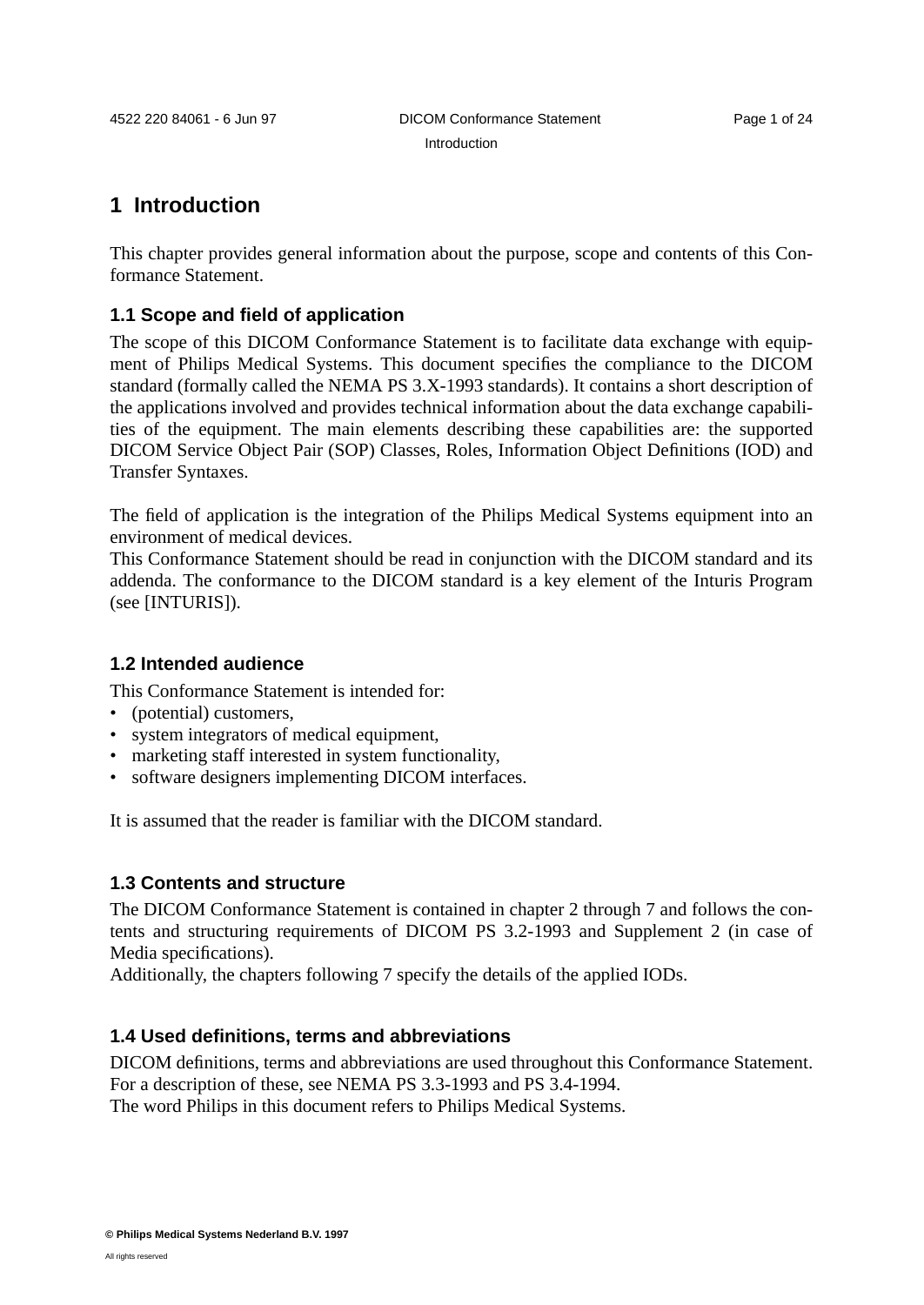**1 Introduction**

This chapter provides general information about the purpose, scope and contents of this Conformance Statement.

# **1.1 Scope and field of application**

The scope of this DICOM Conformance Statement is to facilitate data exchange with equipment of Philips Medical Systems. This document specifies the compliance to the DICOM standard (formally called the NEMA PS 3.X-1993 standards). It contains a short description of the applications involved and provides technical information about the data exchange capabilities of the equipment. The main elements describing these capabilities are: the supported DICOM Service Object Pair (SOP) Classes, Roles, Information Object Definitions (IOD) and Transfer Syntaxes.

The field of application is the integration of the Philips Medical Systems equipment into an environment of medical devices.

This Conformance Statement should be read in conjunction with the DICOM standard and its addenda. The conformance to the DICOM standard is a key element of the Inturis Program (see [INTURIS]).

# **1.2 Intended audience**

This Conformance Statement is intended for:

- (potential) customers.
- system integrators of medical equipment,
- marketing staff interested in system functionality,
- software designers implementing DICOM interfaces.

It is assumed that the reader is familiar with the DICOM standard.

### **1.3 Contents and structure**

The DICOM Conformance Statement is contained in chapter 2 through 7 and follows the contents and structuring requirements of DICOM PS 3.2-1993 and Supplement 2 (in case of Media specifications).

Additionally, the chapters following 7 specify the details of the applied IODs.

### **1.4 Used definitions, terms and abbreviations**

DICOM definitions, terms and abbreviations are used throughout this Conformance Statement. For a description of these, see NEMA PS 3.3-1993 and PS 3.4-1994.

The word Philips in this document refers to Philips Medical Systems.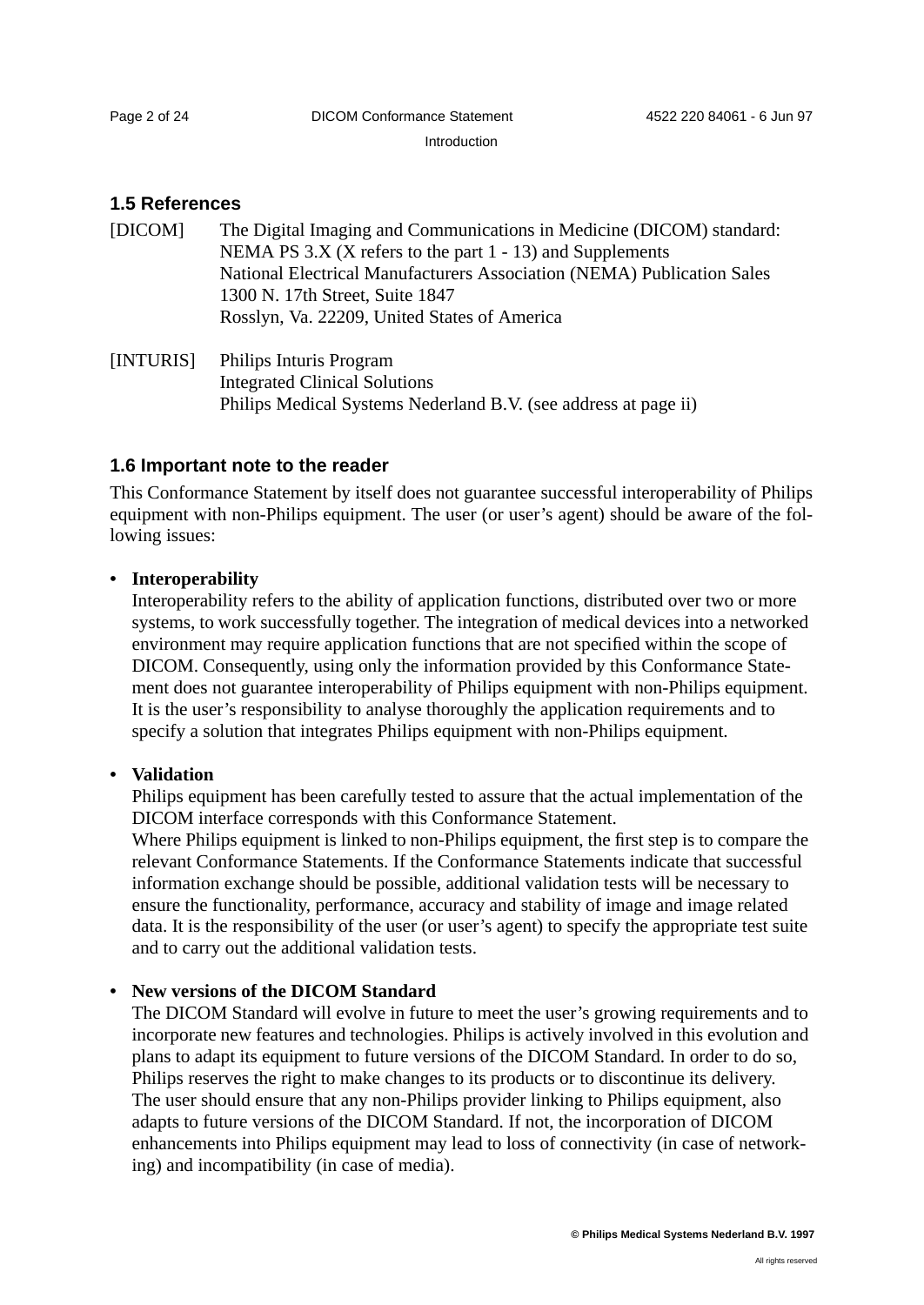Introduction

### **1.5 References**

| [DICOM] | The Digital Imaging and Communications in Medicine (DICOM) standard:   |
|---------|------------------------------------------------------------------------|
|         | NEMA PS $3.X$ (X refers to the part 1 - 13) and Supplements            |
|         | National Electrical Manufacturers Association (NEMA) Publication Sales |
|         | 1300 N. 17th Street, Suite 1847                                        |
|         | Rosslyn, Va. 22209, United States of America                           |
|         |                                                                        |

[INTURIS] Philips Inturis Program Integrated Clinical Solutions Philips Medical Systems Nederland B.V. (see address at page ii)

### **1.6 Important note to the reader**

This Conformance Statement by itself does not guarantee successful interoperability of Philips equipment with non-Philips equipment. The user (or user's agent) should be aware of the following issues:

### **• Interoperability**

Interoperability refers to the ability of application functions, distributed over two or more systems, to work successfully together. The integration of medical devices into a networked environment may require application functions that are not specified within the scope of DICOM. Consequently, using only the information provided by this Conformance Statement does not guarantee interoperability of Philips equipment with non-Philips equipment. It is the user's responsibility to analyse thoroughly the application requirements and to specify a solution that integrates Philips equipment with non-Philips equipment.

### **• Validation**

Philips equipment has been carefully tested to assure that the actual implementation of the DICOM interface corresponds with this Conformance Statement.

Where Philips equipment is linked to non-Philips equipment, the first step is to compare the relevant Conformance Statements. If the Conformance Statements indicate that successful information exchange should be possible, additional validation tests will be necessary to ensure the functionality, performance, accuracy and stability of image and image related data. It is the responsibility of the user (or user's agent) to specify the appropriate test suite and to carry out the additional validation tests.

### **• New versions of the DICOM Standard**

The DICOM Standard will evolve in future to meet the user's growing requirements and to incorporate new features and technologies. Philips is actively involved in this evolution and plans to adapt its equipment to future versions of the DICOM Standard. In order to do so, Philips reserves the right to make changes to its products or to discontinue its delivery. The user should ensure that any non-Philips provider linking to Philips equipment, also adapts to future versions of the DICOM Standard. If not, the incorporation of DICOM enhancements into Philips equipment may lead to loss of connectivity (in case of networking) and incompatibility (in case of media).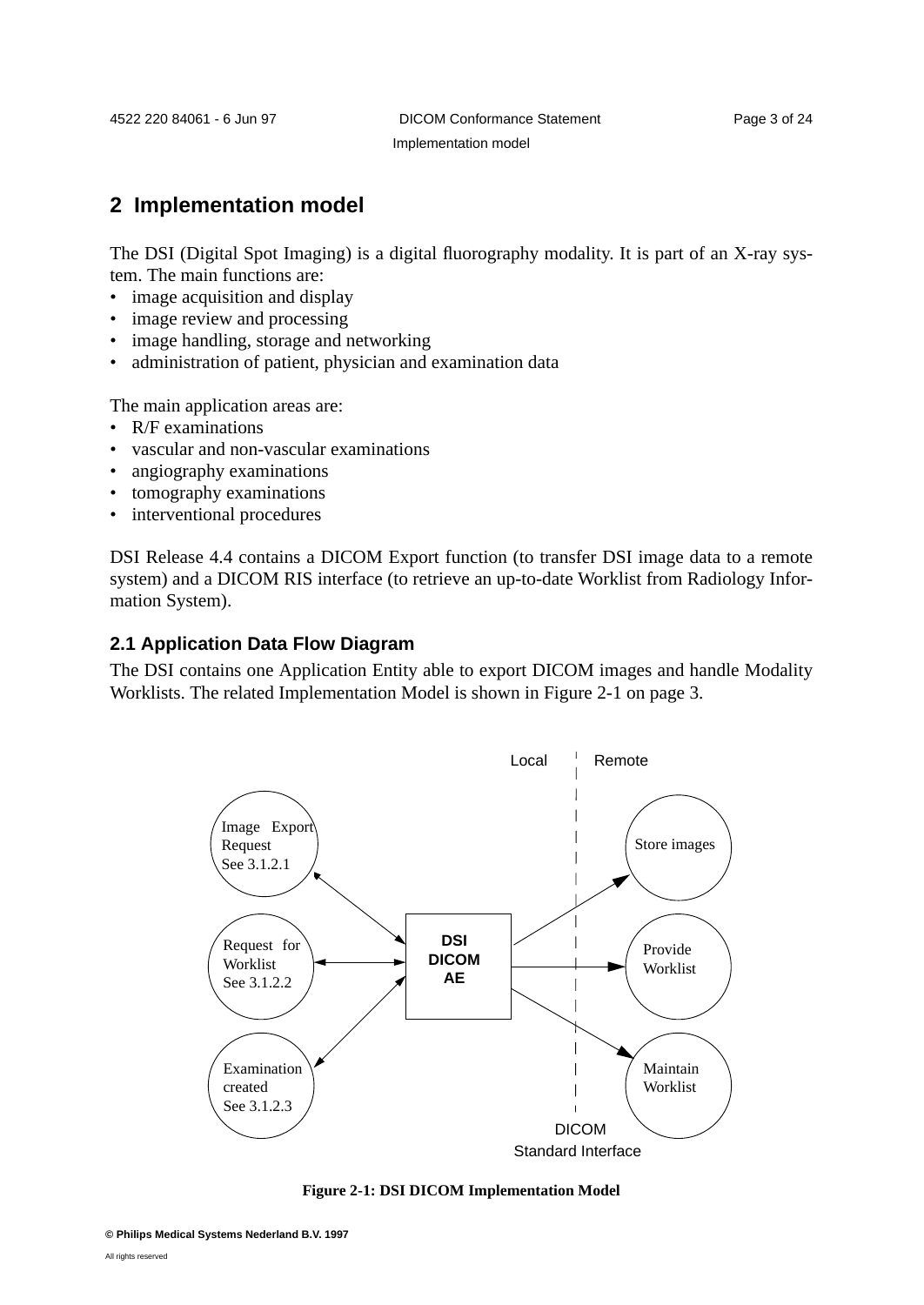# **2 Implementation model**

The DSI (Digital Spot Imaging) is a digital fluorography modality. It is part of an X-ray system. The main functions are:

- image acquisition and display
- image review and processing
- image handling, storage and networking
- administration of patient, physician and examination data

The main application areas are:

- R/F examinations
- vascular and non-vascular examinations
- angiography examinations
- tomography examinations
- interventional procedures

DSI Release 4.4 contains a DICOM Export function (to transfer DSI image data to a remote system) and a DICOM RIS interface (to retrieve an up-to-date Worklist from Radiology Information System).

### **2.1 Application Data Flow Diagram**

The DSI contains one Application Entity able to export DICOM images and handle Modality Worklists. The related Implementation Model is shown in Figure 2-1 on page 3.



#### **Figure 2-1: DSI DICOM Implementation Model**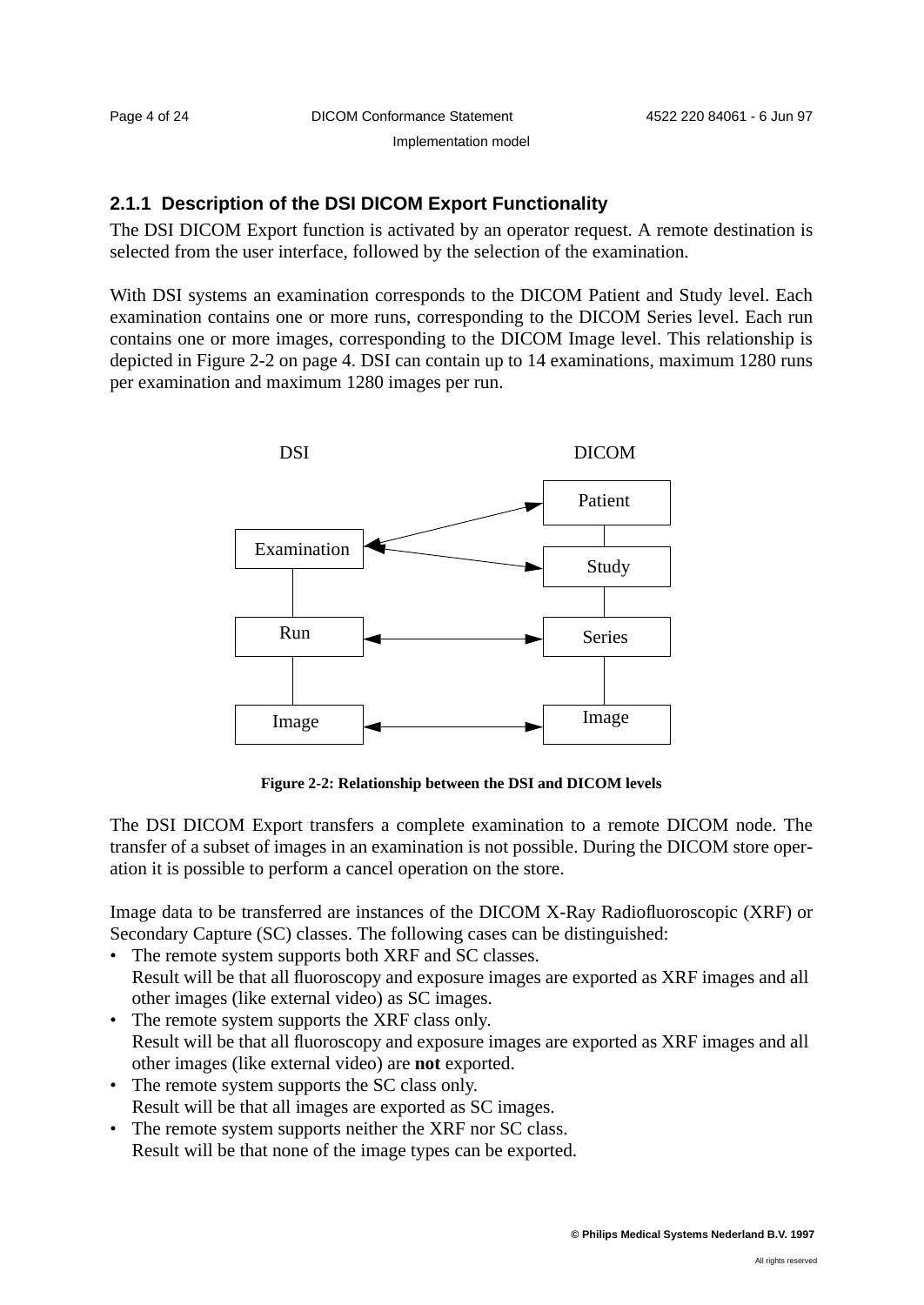# **2.1.1 Description of the DSI DICOM Export Functionality**

The DSI DICOM Export function is activated by an operator request. A remote destination is selected from the user interface, followed by the selection of the examination.

With DSI systems an examination corresponds to the DICOM Patient and Study level. Each examination contains one or more runs, corresponding to the DICOM Series level. Each run contains one or more images, corresponding to the DICOM Image level. This relationship is depicted in Figure 2-2 on page 4. DSI can contain up to 14 examinations, maximum 1280 runs per examination and maximum 1280 images per run.



**Figure 2-2: Relationship between the DSI and DICOM levels**

The DSI DICOM Export transfers a complete examination to a remote DICOM node. The transfer of a subset of images in an examination is not possible. During the DICOM store operation it is possible to perform a cancel operation on the store.

Image data to be transferred are instances of the DICOM X-Ray Radiofluoroscopic (XRF) or Secondary Capture (SC) classes. The following cases can be distinguished:

- The remote system supports both XRF and SC classes. Result will be that all fluoroscopy and exposure images are exported as XRF images and all other images (like external video) as SC images.
- The remote system supports the XRF class only. Result will be that all fluoroscopy and exposure images are exported as XRF images and all other images (like external video) are **not** exported.
- The remote system supports the SC class only. Result will be that all images are exported as SC images.
- The remote system supports neither the XRF nor SC class. Result will be that none of the image types can be exported.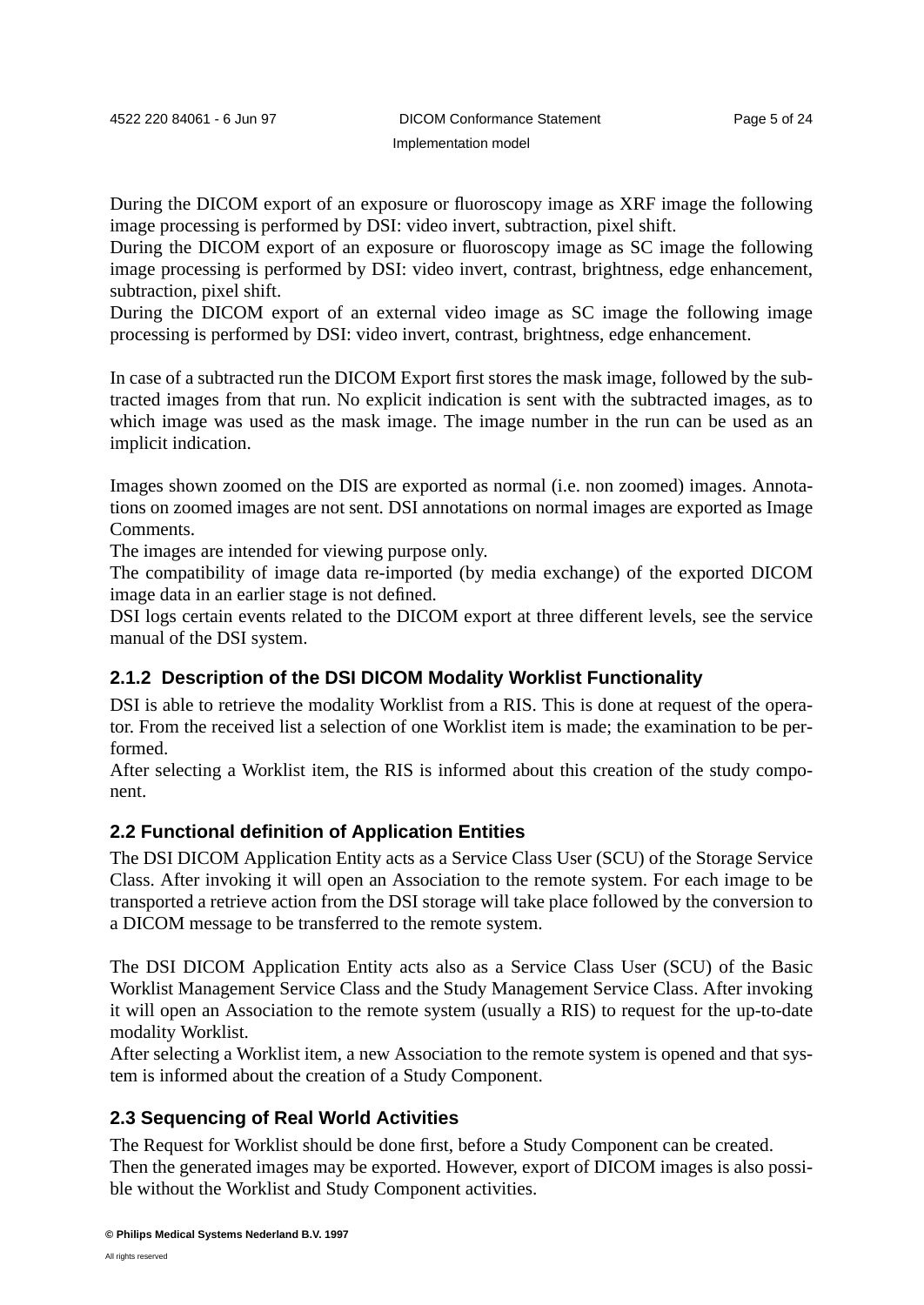During the DICOM export of an exposure or fluoroscopy image as XRF image the following image processing is performed by DSI: video invert, subtraction, pixel shift.

During the DICOM export of an exposure or fluoroscopy image as SC image the following image processing is performed by DSI: video invert, contrast, brightness, edge enhancement, subtraction, pixel shift.

During the DICOM export of an external video image as SC image the following image processing is performed by DSI: video invert, contrast, brightness, edge enhancement.

In case of a subtracted run the DICOM Export first stores the mask image, followed by the subtracted images from that run. No explicit indication is sent with the subtracted images, as to which image was used as the mask image. The image number in the run can be used as an implicit indication.

Images shown zoomed on the DIS are exported as normal (i.e. non zoomed) images. Annotations on zoomed images are not sent. DSI annotations on normal images are exported as Image Comments.

The images are intended for viewing purpose only.

The compatibility of image data re-imported (by media exchange) of the exported DICOM image data in an earlier stage is not defined.

DSI logs certain events related to the DICOM export at three different levels, see the service manual of the DSI system.

# **2.1.2 Description of the DSI DICOM Modality Worklist Functionality**

DSI is able to retrieve the modality Worklist from a RIS. This is done at request of the operator. From the received list a selection of one Worklist item is made; the examination to be performed.

After selecting a Worklist item, the RIS is informed about this creation of the study component.

### **2.2 Functional definition of Application Entities**

The DSI DICOM Application Entity acts as a Service Class User (SCU) of the Storage Service Class. After invoking it will open an Association to the remote system. For each image to be transported a retrieve action from the DSI storage will take place followed by the conversion to a DICOM message to be transferred to the remote system.

The DSI DICOM Application Entity acts also as a Service Class User (SCU) of the Basic Worklist Management Service Class and the Study Management Service Class. After invoking it will open an Association to the remote system (usually a RIS) to request for the up-to-date modality Worklist.

After selecting a Worklist item, a new Association to the remote system is opened and that system is informed about the creation of a Study Component.

# **2.3 Sequencing of Real World Activities**

The Request for Worklist should be done first, before a Study Component can be created. Then the generated images may be exported. However, export of DICOM images is also possible without the Worklist and Study Component activities.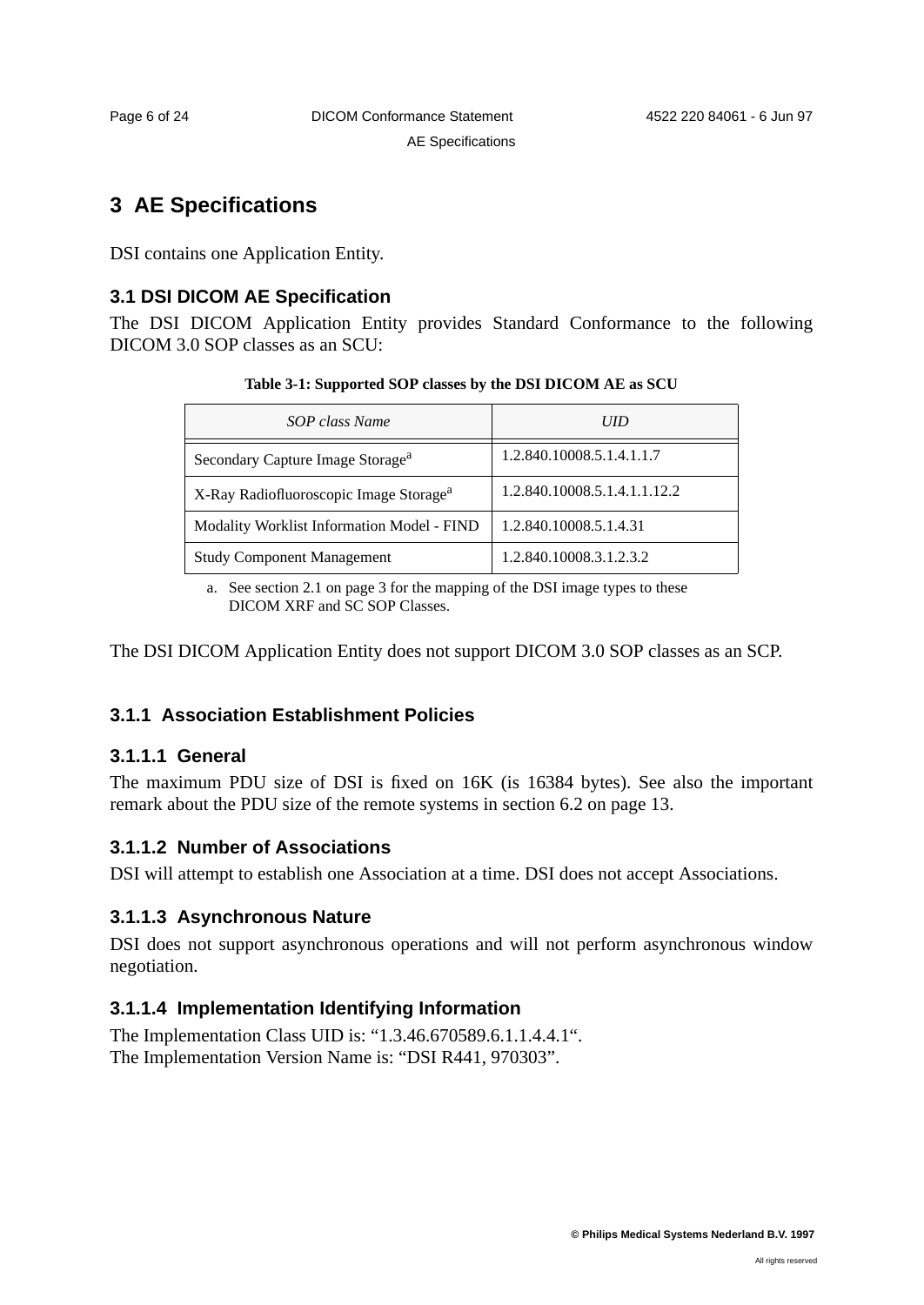# **3 AE Specifications**

DSI contains one Application Entity.

# **3.1 DSI DICOM AE Specification**

The DSI DICOM Application Entity provides Standard Conformance to the following DICOM 3.0 SOP classes as an SCU:

| Table 3-1: Supported SOP classes by the DSI DICOM AE as SCU |  |  |  |
|-------------------------------------------------------------|--|--|--|
|-------------------------------------------------------------|--|--|--|

| SOP class Name                                     | <b>UID</b>                   |
|----------------------------------------------------|------------------------------|
| Secondary Capture Image Storage <sup>a</sup>       | 1.2.840.10008.5.1.4.1.1.7    |
| X-Ray Radiofluoroscopic Image Storage <sup>a</sup> | 1.2.840.10008.5.1.4.1.1.12.2 |
| <b>Modality Worklist Information Model - FIND</b>  | 1.2.840.10008.5.1.4.31       |
| <b>Study Component Management</b>                  | 1.2.840.10008.3.1.2.3.2      |

a. See section 2.1 on page 3 for the mapping of the DSI image types to these DICOM XRF and SC SOP Classes.

The DSI DICOM Application Entity does not support DICOM 3.0 SOP classes as an SCP.

# **3.1.1 Association Establishment Policies**

# **3.1.1.1 General**

The maximum PDU size of DSI is fixed on 16K (is 16384 bytes). See also the important remark about the PDU size of the remote systems in section 6.2 on page 13.

# **3.1.1.2 Number of Associations**

DSI will attempt to establish one Association at a time. DSI does not accept Associations.

# **3.1.1.3 Asynchronous Nature**

DSI does not support asynchronous operations and will not perform asynchronous window negotiation.

# **3.1.1.4 Implementation Identifying Information**

The Implementation Class UID is: "1.3.46.670589.6.1.1.4.4.1". The Implementation Version Name is: "DSI R441, 970303".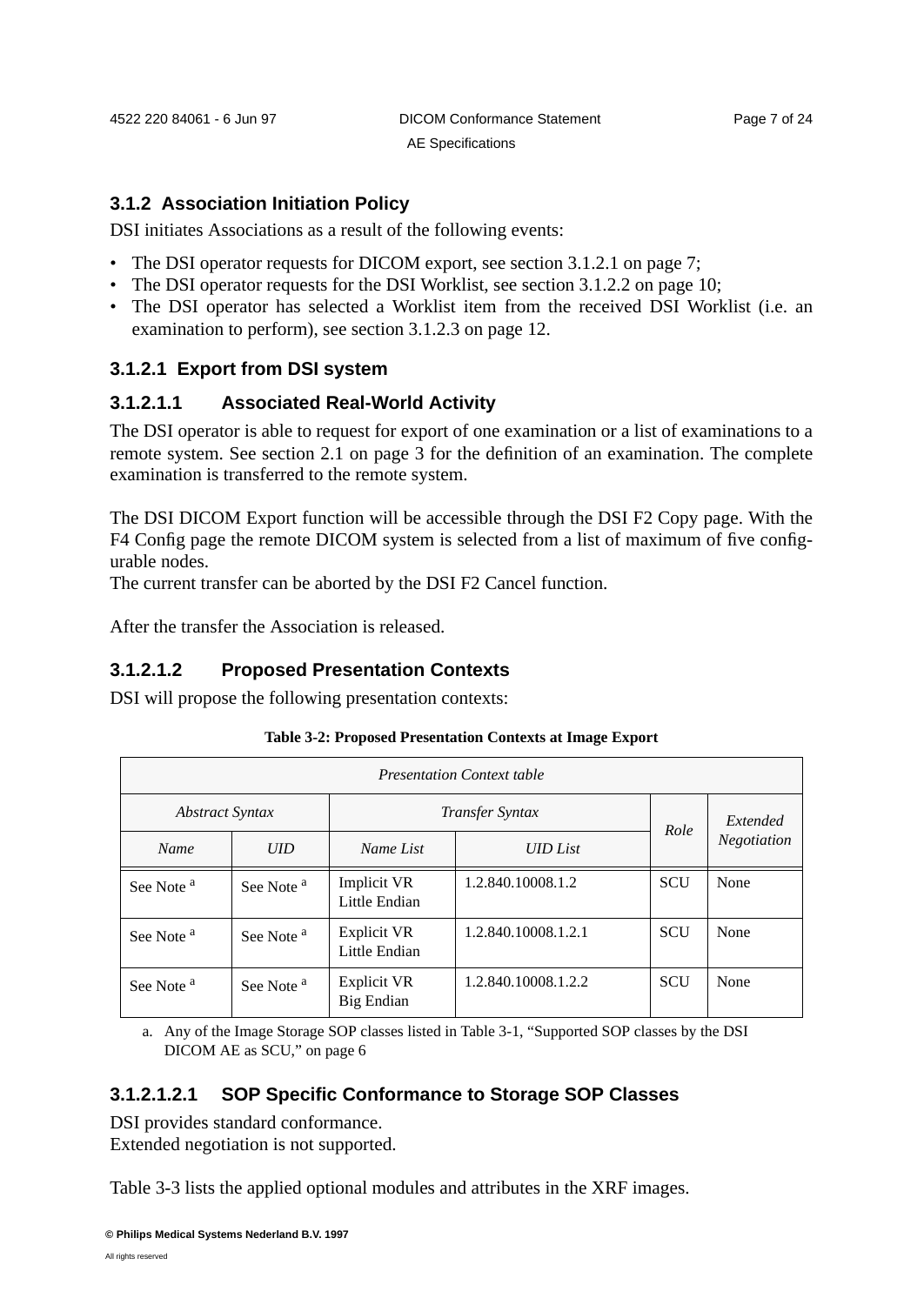### **3.1.2 Association Initiation Policy**

DSI initiates Associations as a result of the following events:

- The DSI operator requests for DICOM export, see section 3.1.2.1 on page 7;
- The DSI operator requests for the DSI Worklist, see section 3.1.2.2 on page 10;
- The DSI operator has selected a Worklist item from the received DSI Worklist (i.e. an examination to perform), see section 3.1.2.3 on page 12.

# **3.1.2.1 Export from DSI system**

### **3.1.2.1.1 Associated Real-World Activity**

The DSI operator is able to request for export of one examination or a list of examinations to a remote system. See section 2.1 on page 3 for the definition of an examination. The complete examination is transferred to the remote system.

The DSI DICOM Export function will be accessible through the DSI F2 Copy page. With the F4 Config page the remote DICOM system is selected from a list of maximum of five configurable nodes.

The current transfer can be aborted by the DSI F2 Cancel function.

After the transfer the Association is released.

### **3.1.2.1.2 Proposed Presentation Contexts**

DSI will propose the following presentation contexts:

|                                                  | <b>Presentation Context table</b> |                              |                     |            |                    |  |  |  |  |
|--------------------------------------------------|-----------------------------------|------------------------------|---------------------|------------|--------------------|--|--|--|--|
| <b>Abstract Syntax</b><br><i>Transfer Syntax</i> |                                   |                              |                     |            | Extended           |  |  |  |  |
| <b>Name</b>                                      | <b>UID</b>                        | <b>UID</b> List<br>Name List |                     | Role       | <b>Negotiation</b> |  |  |  |  |
| See Note <sup>a</sup>                            | See Note <sup>a</sup>             | Implicit VR<br>Little Endian | 1.2.840.10008.1.2   | <b>SCU</b> | None               |  |  |  |  |
| See Note <sup>a</sup>                            | See Note <sup>a</sup>             | Explicit VR<br>Little Endian | 1.2.840.10008.1.2.1 | <b>SCU</b> | None               |  |  |  |  |
| See Note <sup>a</sup>                            | See Note <sup>a</sup>             | Explicit VR<br>Big Endian    | 1.2.840.10008.1.2.2 | <b>SCU</b> | None               |  |  |  |  |

### **Table 3-2: Proposed Presentation Contexts at Image Export**

a. Any of the Image Storage SOP classes listed in Table 3-1, "Supported SOP classes by the DSI DICOM AE as SCU," on page 6

# **3.1.2.1.2.1 SOP Specific Conformance to Storage SOP Classes**

DSI provides standard conformance. Extended negotiation is not supported.

Table 3-3 lists the applied optional modules and attributes in the XRF images.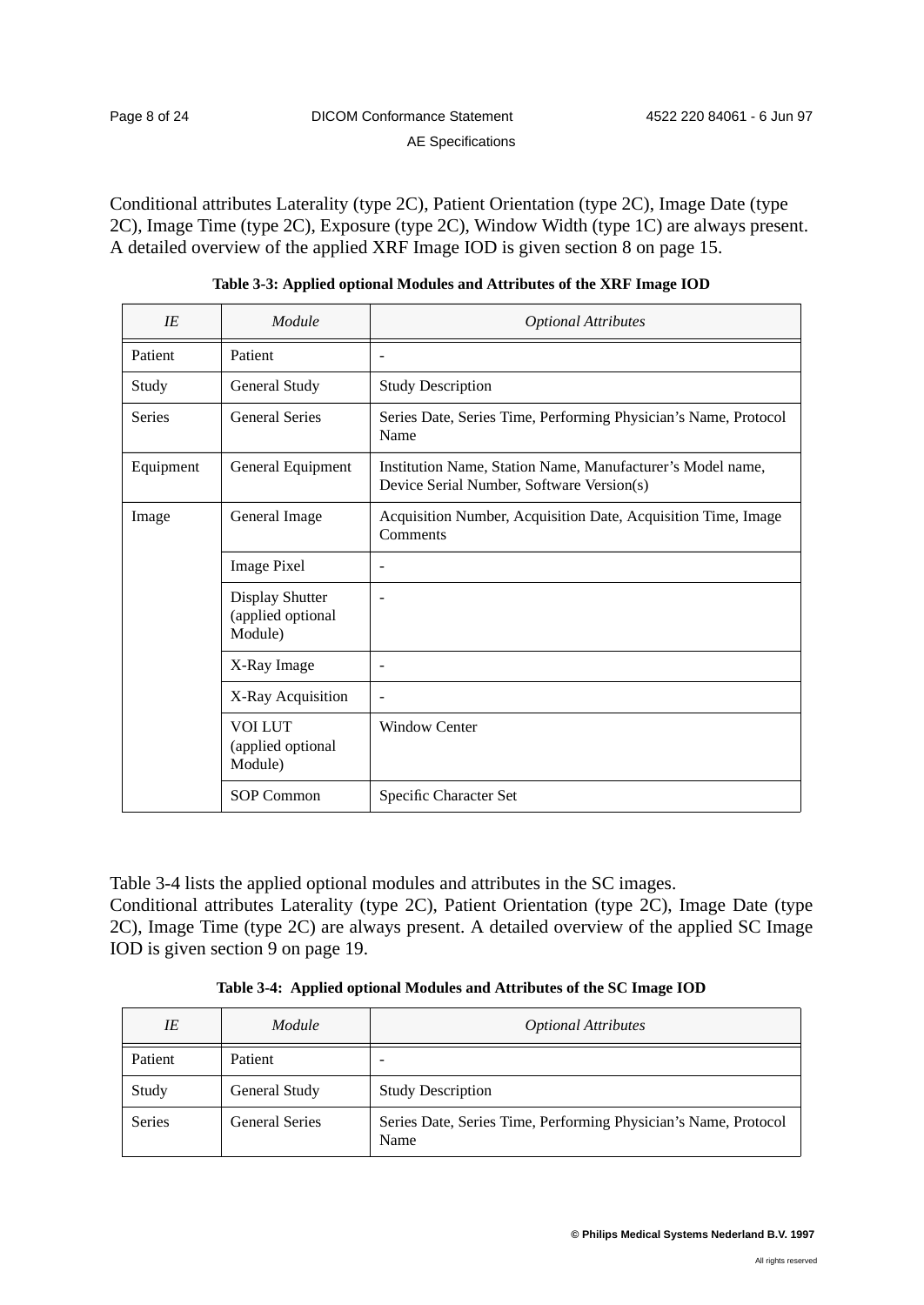Conditional attributes Laterality (type 2C), Patient Orientation (type 2C), Image Date (type 2C), Image Time (type 2C), Exposure (type 2C), Window Width (type 1C) are always present. A detailed overview of the applied XRF Image IOD is given section 8 on page 15.

| IE            | Module                                          | <b>Optional Attributes</b>                                                                              |
|---------------|-------------------------------------------------|---------------------------------------------------------------------------------------------------------|
| Patient       | Patient                                         | $\blacksquare$                                                                                          |
| Study         | General Study                                   | <b>Study Description</b>                                                                                |
| <b>Series</b> | <b>General Series</b>                           | Series Date, Series Time, Performing Physician's Name, Protocol<br>Name                                 |
| Equipment     | General Equipment                               | Institution Name, Station Name, Manufacturer's Model name,<br>Device Serial Number, Software Version(s) |
| Image         | General Image                                   | Acquisition Number, Acquisition Date, Acquisition Time, Image<br>Comments                               |
|               | <b>Image Pixel</b>                              | ۰                                                                                                       |
|               | Display Shutter<br>(applied optional<br>Module) |                                                                                                         |
|               | X-Ray Image                                     | $\qquad \qquad -$                                                                                       |
|               | X-Ray Acquisition                               | $\overline{a}$                                                                                          |
|               | <b>VOI LUT</b><br>(applied optional<br>Module)  | Window Center                                                                                           |
|               | <b>SOP Common</b>                               | Specific Character Set                                                                                  |

| Table 3-3: Applied optional Modules and Attributes of the XRF Image IOD |  |
|-------------------------------------------------------------------------|--|
|                                                                         |  |

Table 3-4 lists the applied optional modules and attributes in the SC images.

Conditional attributes Laterality (type 2C), Patient Orientation (type 2C), Image Date (type 2C), Image Time (type 2C) are always present. A detailed overview of the applied SC Image IOD is given section 9 on page 19.

|  |  |  |  |  |  |  | Table 3-4: Applied optional Modules and Attributes of the SC Image IOD |
|--|--|--|--|--|--|--|------------------------------------------------------------------------|
|--|--|--|--|--|--|--|------------------------------------------------------------------------|

| ΙE            | Module         | <b>Optional Attributes</b>                                              |
|---------------|----------------|-------------------------------------------------------------------------|
| Patient       | Patient        | -                                                                       |
| Study         | General Study  | <b>Study Description</b>                                                |
| <b>Series</b> | General Series | Series Date, Series Time, Performing Physician's Name, Protocol<br>Name |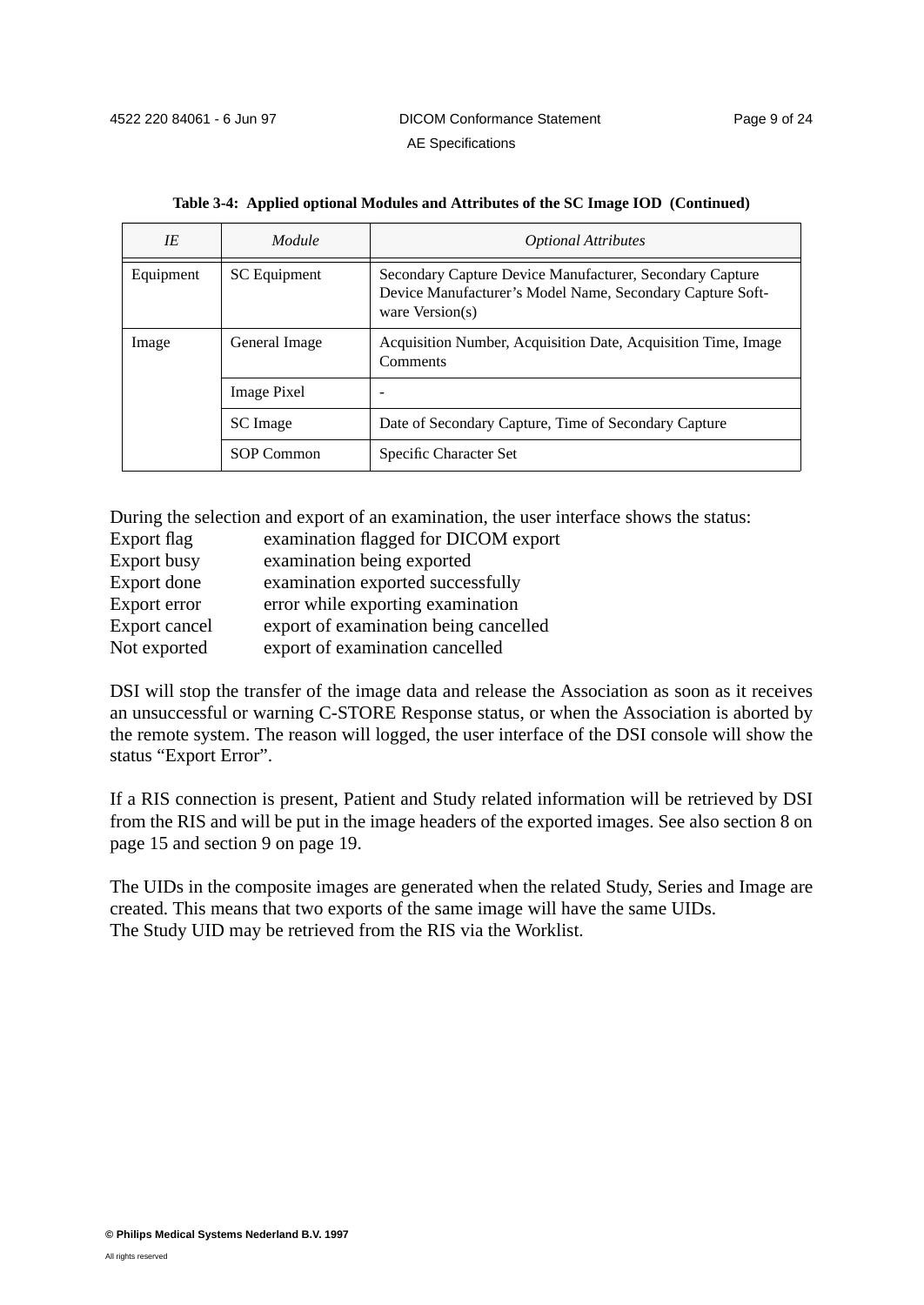| IE        | Module             | <b>Optional Attributes</b>                                                                                                                 |
|-----------|--------------------|--------------------------------------------------------------------------------------------------------------------------------------------|
| Equipment | SC Equipment       | Secondary Capture Device Manufacturer, Secondary Capture<br>Device Manufacturer's Model Name, Secondary Capture Soft-<br>ware $Version(s)$ |
| Image     | General Image      | Acquisition Number, Acquisition Date, Acquisition Time, Image<br>Comments                                                                  |
|           | <b>Image Pixel</b> |                                                                                                                                            |
|           | SC Image           | Date of Secondary Capture, Time of Secondary Capture                                                                                       |
|           | SOP Common         | Specific Character Set                                                                                                                     |

|  |  |  |  | Table 3-4: Applied optional Modules and Attributes of the SC Image IOD (Continued) |
|--|--|--|--|------------------------------------------------------------------------------------|
|  |  |  |  |                                                                                    |

During the selection and export of an examination, the user interface shows the status:

- Export flag examination flagged for DICOM export
- Export busy examination being exported
- Export done examination exported successfully
- Export error error while exporting examination
- Export cancel export of examination being cancelled
- Not exported export of examination cancelled

DSI will stop the transfer of the image data and release the Association as soon as it receives an unsuccessful or warning C-STORE Response status, or when the Association is aborted by the remote system. The reason will logged, the user interface of the DSI console will show the status "Export Error".

If a RIS connection is present, Patient and Study related information will be retrieved by DSI from the RIS and will be put in the image headers of the exported images. See also section 8 on page 15 and section 9 on page 19.

The UIDs in the composite images are generated when the related Study, Series and Image are created. This means that two exports of the same image will have the same UIDs. The Study UID may be retrieved from the RIS via the Worklist.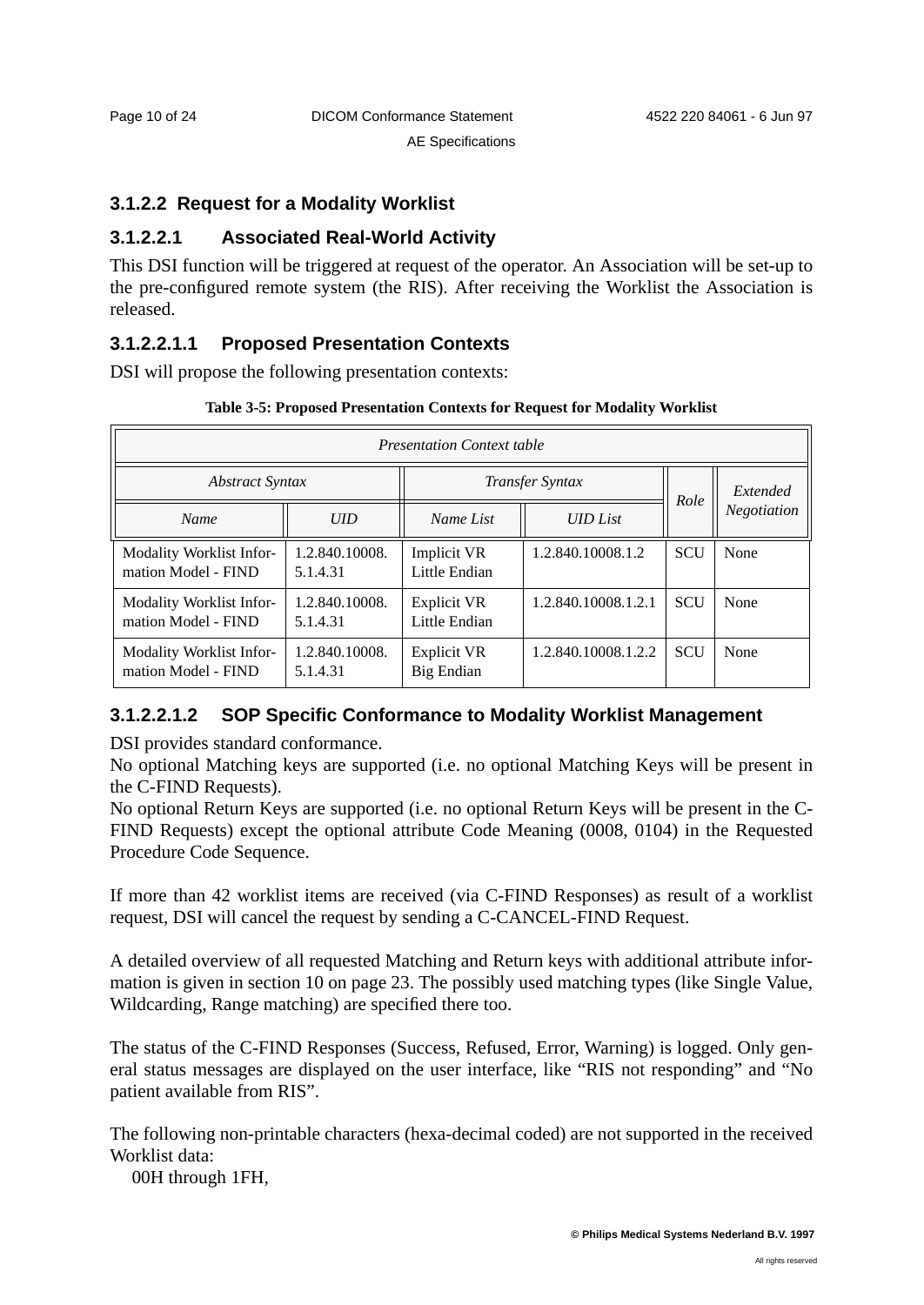# **3.1.2.2 Request for a Modality Worklist**

# **3.1.2.2.1 Associated Real-World Activity**

This DSI function will be triggered at request of the operator. An Association will be set-up to the pre-configured remote system (the RIS). After receiving the Worklist the Association is released.

# **3.1.2.2.1.1 Proposed Presentation Contexts**

DSI will propose the following presentation contexts:

| <b>Presentation Context table</b>               |                            |                                         |                     |             |      |  |  |  |
|-------------------------------------------------|----------------------------|-----------------------------------------|---------------------|-------------|------|--|--|--|
| <b>Abstract Syntax</b>                          | Role                       | Extended                                |                     |             |      |  |  |  |
| <b>Name</b>                                     | <b>UID</b>                 | Name List                               |                     | Negotiation |      |  |  |  |
| Modality Worklist Infor-<br>mation Model - FIND | 1.2.840.10008.<br>5.1.4.31 | <b>Implicit VR</b><br>Little Endian     | 1.2.840.10008.1.2   | <b>SCU</b>  | None |  |  |  |
| Modality Worklist Infor-<br>mation Model - FIND | 1.2.840.10008.<br>5.1.4.31 | <b>Explicit VR</b><br>Little Endian     | 1.2.840.10008.1.2.1 | <b>SCU</b>  | None |  |  |  |
| Modality Worklist Infor-<br>mation Model - FIND | 1.2.840.10008.<br>5.1.4.31 | <b>Explicit VR</b><br><b>Big Endian</b> | 1.2.840.10008.1.2.2 | <b>SCU</b>  | None |  |  |  |

#### **Table 3-5: Proposed Presentation Contexts for Request for Modality Worklist**

# **3.1.2.2.1.2 SOP Specific Conformance to Modality Worklist Management**

DSI provides standard conformance.

No optional Matching keys are supported (i.e. no optional Matching Keys will be present in the C-FIND Requests).

No optional Return Keys are supported (i.e. no optional Return Keys will be present in the C-FIND Requests) except the optional attribute Code Meaning (0008, 0104) in the Requested Procedure Code Sequence.

If more than 42 worklist items are received (via C-FIND Responses) as result of a worklist request, DSI will cancel the request by sending a C-CANCEL-FIND Request.

A detailed overview of all requested Matching and Return keys with additional attribute information is given in section 10 on page 23. The possibly used matching types (like Single Value, Wildcarding, Range matching) are specified there too.

The status of the C-FIND Responses (Success, Refused, Error, Warning) is logged. Only general status messages are displayed on the user interface, like "RIS not responding" and "No patient available from RIS".

The following non-printable characters (hexa-decimal coded) are not supported in the received Worklist data:

00H through 1FH,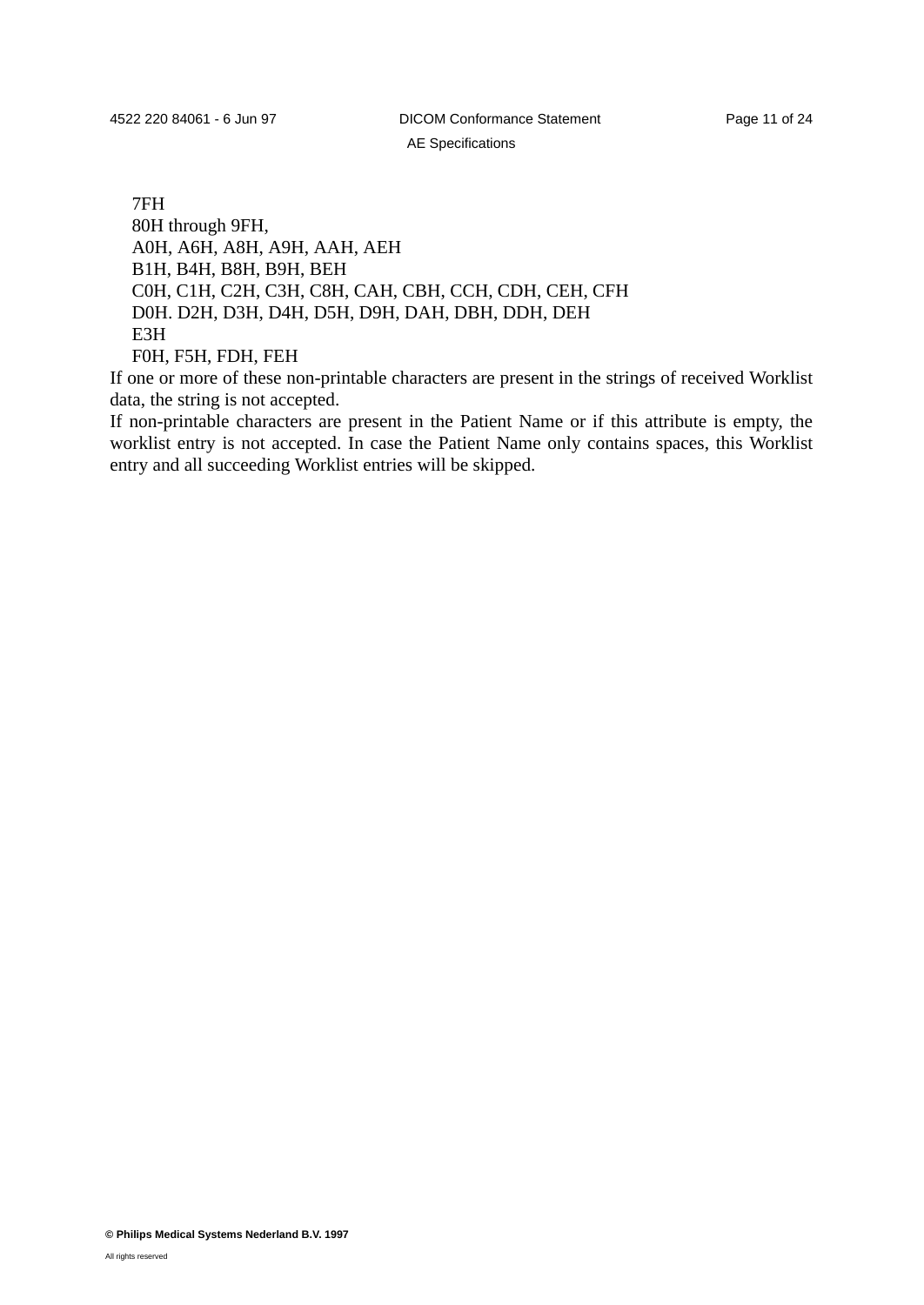AE Specifications

7FH 80H through 9FH, A0H, A6H, A8H, A9H, AAH, AEH B1H, B4H, B8H, B9H, BEH C0H, C1H, C2H, C3H, C8H, CAH, CBH, CCH, CDH, CEH, CFH D0H. D2H, D3H, D4H, D5H, D9H, DAH, DBH, DDH, DEH E3H F0H, F5H, FDH, FEH

If one or more of these non-printable characters are present in the strings of received Worklist data, the string is not accepted.

If non-printable characters are present in the Patient Name or if this attribute is empty, the worklist entry is not accepted. In case the Patient Name only contains spaces, this Worklist entry and all succeeding Worklist entries will be skipped.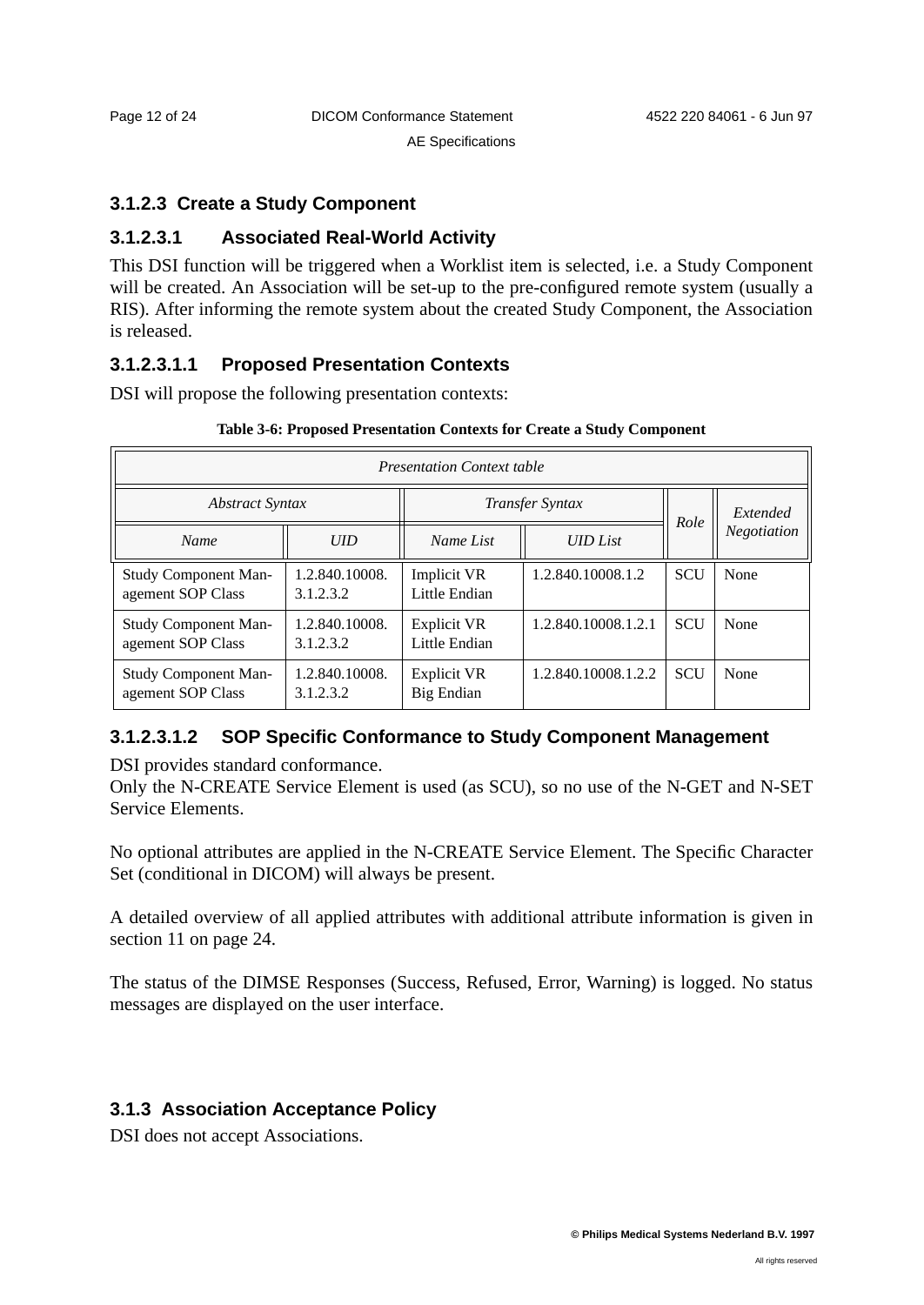# **3.1.2.3 Create a Study Component**

# **3.1.2.3.1 Associated Real-World Activity**

This DSI function will be triggered when a Worklist item is selected, i.e. a Study Component will be created. An Association will be set-up to the pre-configured remote system (usually a RIS). After informing the remote system about the created Study Component, the Association is released.

# **3.1.2.3.1.1 Proposed Presentation Contexts**

DSI will propose the following presentation contexts:

| <b>Presentation Context table</b>                |                             |                                         |                     |            |             |
|--------------------------------------------------|-----------------------------|-----------------------------------------|---------------------|------------|-------------|
| <b>Abstract Syntax</b>                           |                             | <b>Transfer Syntax</b>                  |                     | Role       | Extended    |
| <b>Name</b>                                      | UID                         | Name List                               | <b>UID</b> List     |            | Negotiation |
| <b>Study Component Man-</b><br>agement SOP Class | 1.2.840.10008.<br>3.1.2.3.2 | Implicit VR<br>Little Endian            | 1.2.840.10008.1.2   | <b>SCU</b> | None        |
| <b>Study Component Man-</b><br>agement SOP Class | 1.2.840.10008.<br>3.1.2.3.2 | <b>Explicit VR</b><br>Little Endian     | 1.2.840.10008.1.2.1 | <b>SCU</b> | None        |
| <b>Study Component Man-</b><br>agement SOP Class | 1.2.840.10008.<br>3.1.2.3.2 | <b>Explicit VR</b><br><b>Big Endian</b> | 1.2.840.10008.1.2.2 | <b>SCU</b> | None        |

#### **Table 3-6: Proposed Presentation Contexts for Create a Study Component**

# **3.1.2.3.1.2 SOP Specific Conformance to Study Component Management**

DSI provides standard conformance.

Only the N-CREATE Service Element is used (as SCU), so no use of the N-GET and N-SET Service Elements.

No optional attributes are applied in the N-CREATE Service Element. The Specific Character Set (conditional in DICOM) will always be present.

A detailed overview of all applied attributes with additional attribute information is given in section 11 on page 24.

The status of the DIMSE Responses (Success, Refused, Error, Warning) is logged. No status messages are displayed on the user interface.

# **3.1.3 Association Acceptance Policy**

DSI does not accept Associations.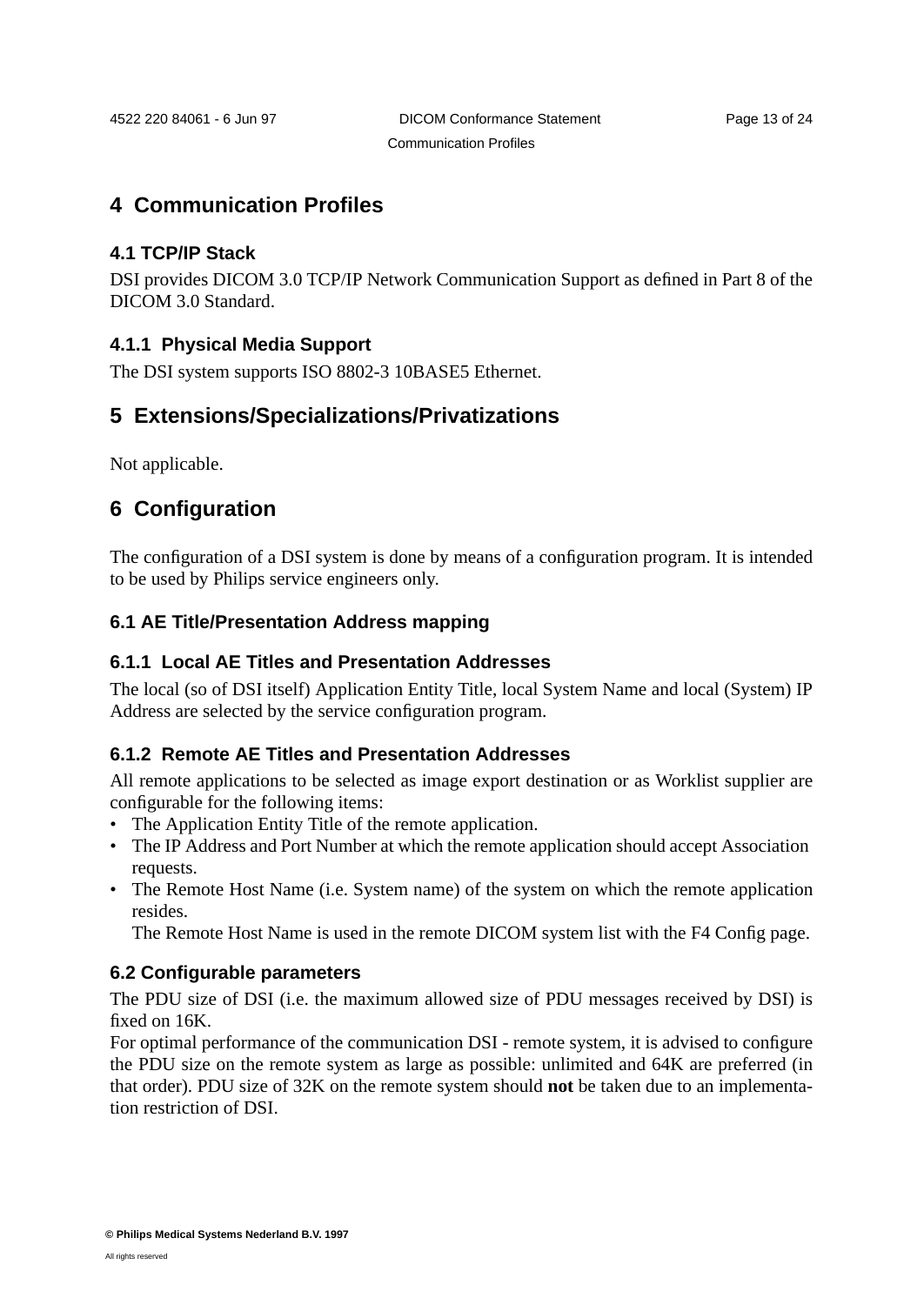# **4 Communication Profiles**

# **4.1 TCP/IP Stack**

DSI provides DICOM 3.0 TCP/IP Network Communication Support as defined in Part 8 of the DICOM 3.0 Standard.

# **4.1.1 Physical Media Support**

The DSI system supports ISO 8802-3 10BASE5 Ethernet.

# **5 Extensions/Specializations/Privatizations**

Not applicable.

# **6 Configuration**

The configuration of a DSI system is done by means of a configuration program. It is intended to be used by Philips service engineers only.

# **6.1 AE Title/Presentation Address mapping**

# **6.1.1 Local AE Titles and Presentation Addresses**

The local (so of DSI itself) Application Entity Title, local System Name and local (System) IP Address are selected by the service configuration program.

# **6.1.2 Remote AE Titles and Presentation Addresses**

All remote applications to be selected as image export destination or as Worklist supplier are configurable for the following items:

- The Application Entity Title of the remote application.
- The IP Address and Port Number at which the remote application should accept Association requests.
- The Remote Host Name (i.e. System name) of the system on which the remote application resides.

The Remote Host Name is used in the remote DICOM system list with the F4 Config page.

# **6.2 Configurable parameters**

The PDU size of DSI (i.e. the maximum allowed size of PDU messages received by DSI) is fixed on 16K.

For optimal performance of the communication DSI - remote system, it is advised to configure the PDU size on the remote system as large as possible: unlimited and 64K are preferred (in that order). PDU size of 32K on the remote system should **not** be taken due to an implementation restriction of DSI.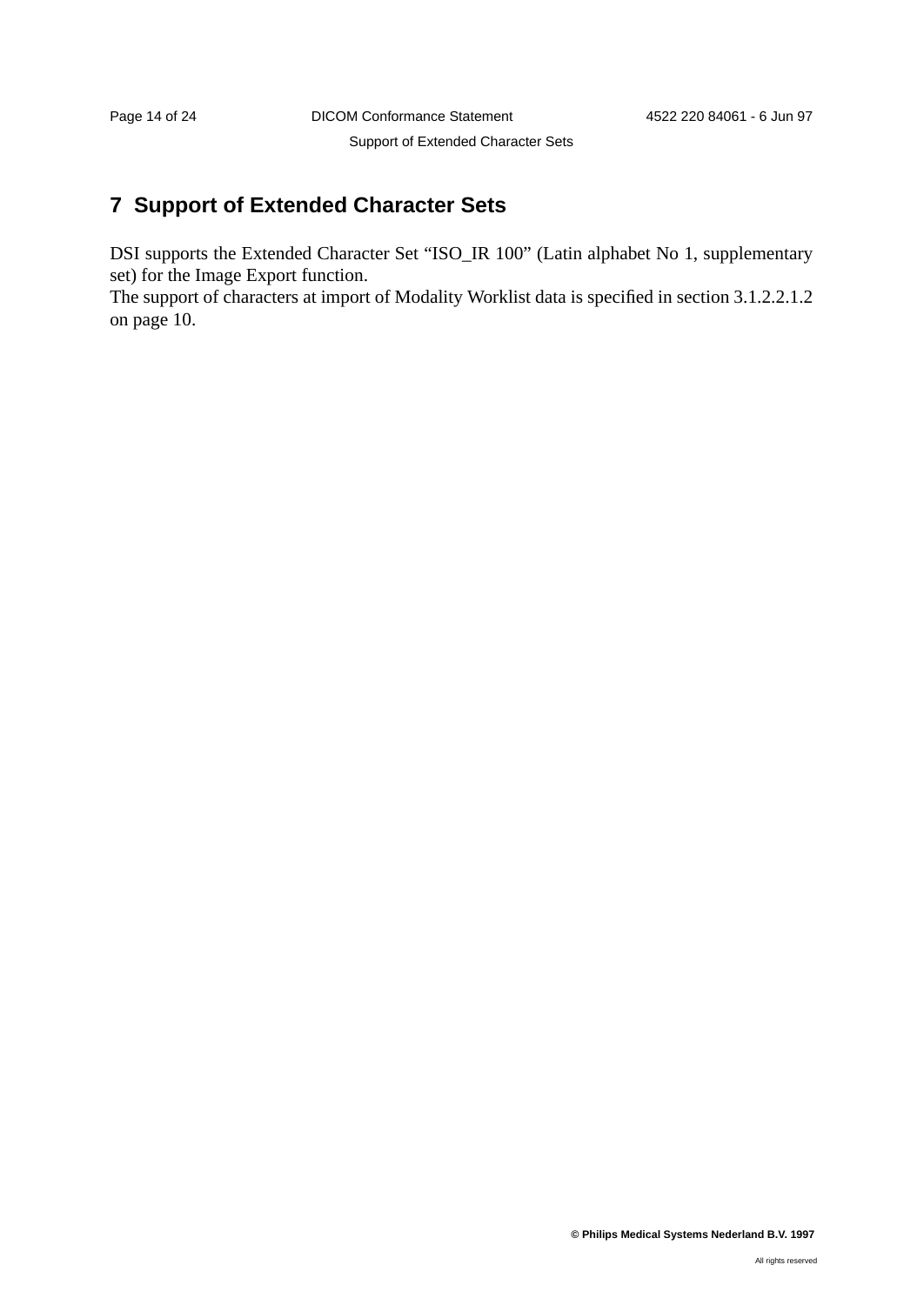# **7 Support of Extended Character Sets**

DSI supports the Extended Character Set "ISO\_IR 100" (Latin alphabet No 1, supplementary set) for the Image Export function.

The support of characters at import of Modality Worklist data is specified in section 3.1.2.2.1.2 on page 10.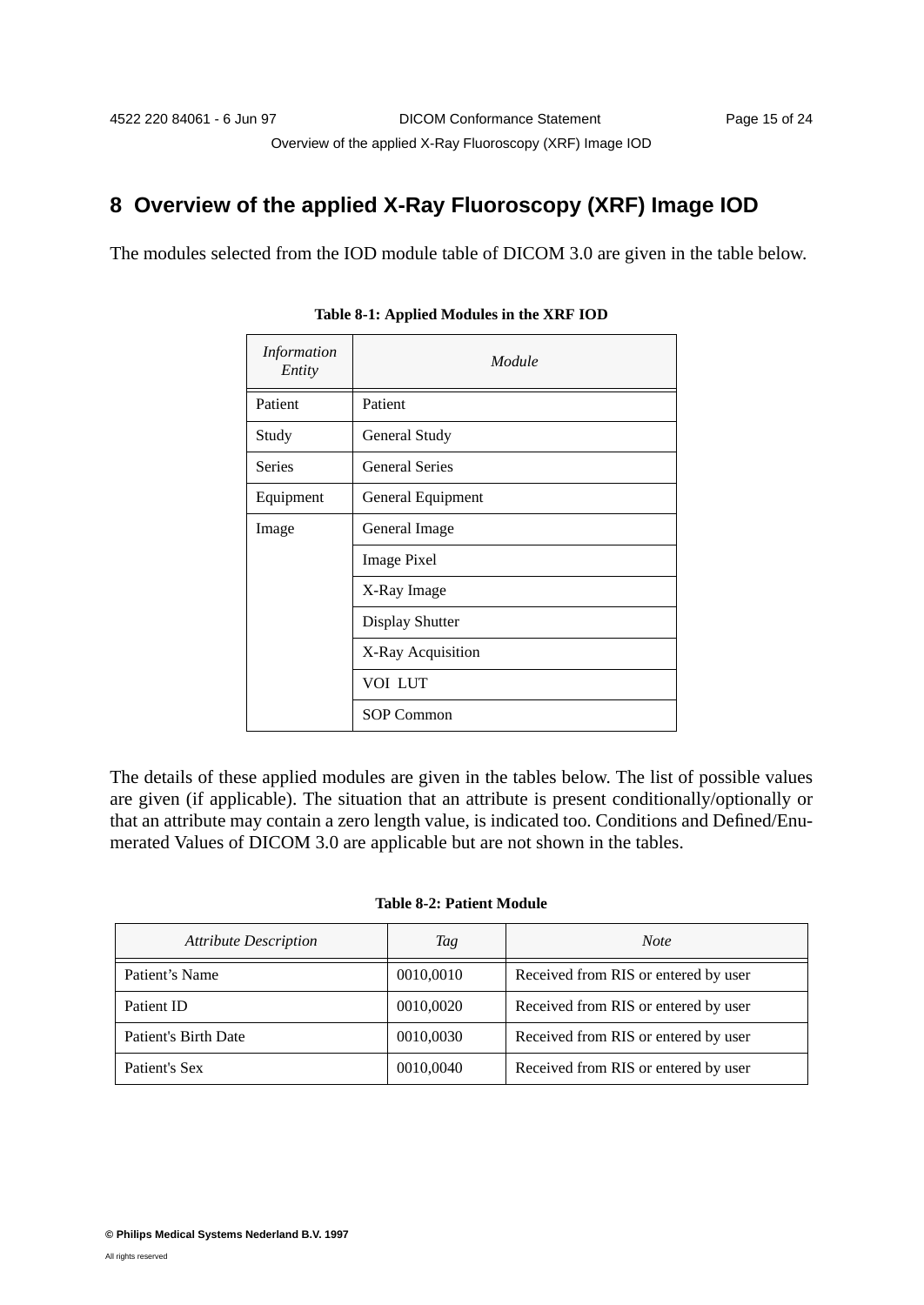# **8 Overview of the applied X-Ray Fluoroscopy (XRF) Image IOD**

The modules selected from the IOD module table of DICOM 3.0 are given in the table below.

| Information<br>Entity | Module                 |
|-----------------------|------------------------|
| Patient               | Patient                |
| Study                 | General Study          |
| <b>Series</b>         | <b>General Series</b>  |
| Equipment             | General Equipment      |
| Image                 | General Image          |
|                       | <b>Image Pixel</b>     |
|                       | X-Ray Image            |
|                       | <b>Display Shutter</b> |
|                       | X-Ray Acquisition      |
|                       | VOI LUT                |
|                       | <b>SOP Common</b>      |

**Table 8-1: Applied Modules in the XRF IOD**

The details of these applied modules are given in the tables below. The list of possible values are given (if applicable). The situation that an attribute is present conditionally/optionally or that an attribute may contain a zero length value, is indicated too. Conditions and Defined/Enumerated Values of DICOM 3.0 are applicable but are not shown in the tables.

#### **Table 8-2: Patient Module**

| <b>Attribute Description</b> | Tag       | Note                                 |
|------------------------------|-----------|--------------------------------------|
| Patient's Name               | 0010,0010 | Received from RIS or entered by user |
| Patient ID                   | 0010,0020 | Received from RIS or entered by user |
| Patient's Birth Date         | 0010,0030 | Received from RIS or entered by user |
| Patient's Sex                | 0010,0040 | Received from RIS or entered by user |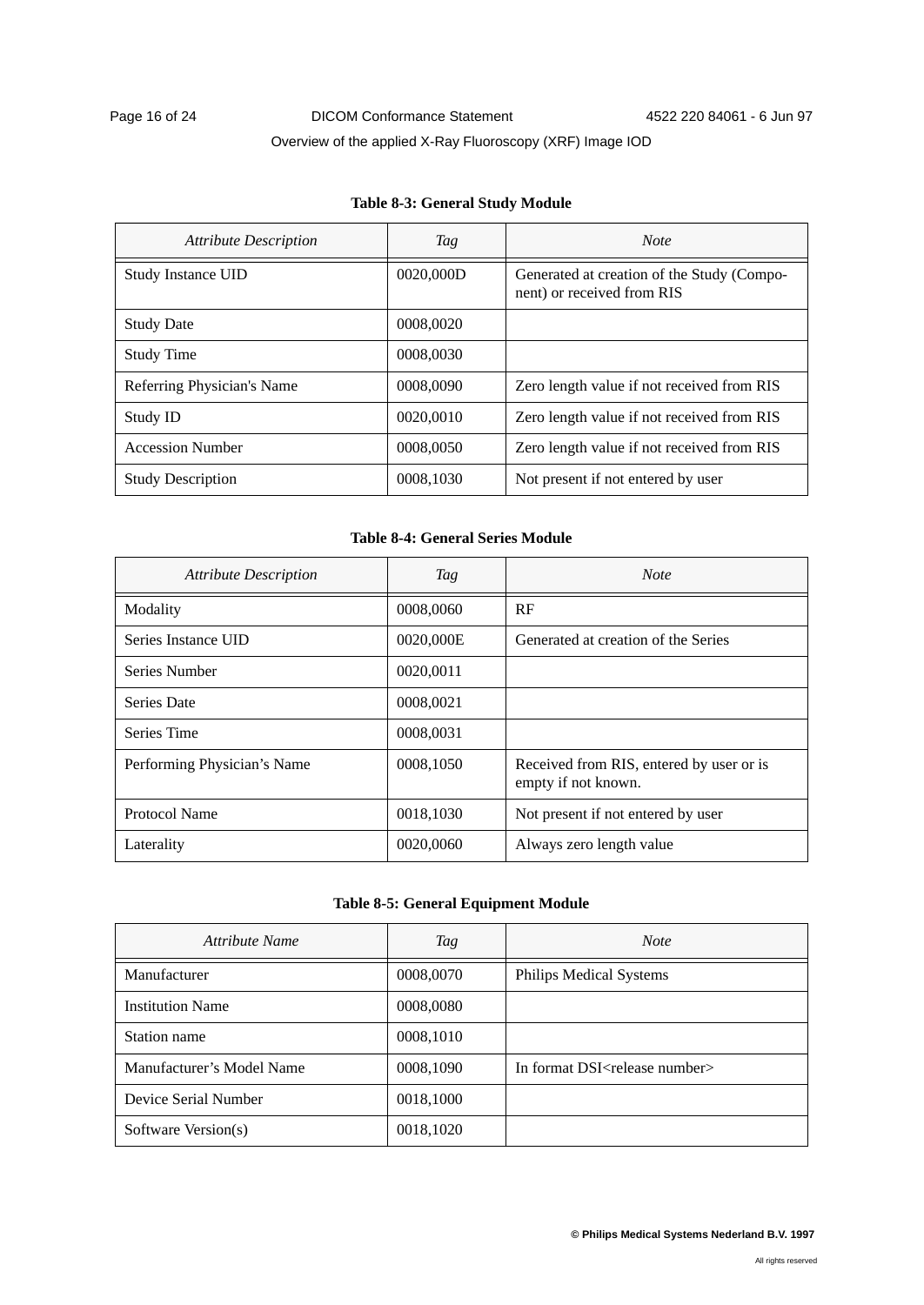### **Table 8-3: General Study Module**

| <b>Attribute Description</b> | Tag       | <b>Note</b>                                                              |
|------------------------------|-----------|--------------------------------------------------------------------------|
| <b>Study Instance UID</b>    | 0020,000D | Generated at creation of the Study (Compo-<br>nent) or received from RIS |
| <b>Study Date</b>            | 0008,0020 |                                                                          |
| <b>Study Time</b>            | 0008,0030 |                                                                          |
| Referring Physician's Name   | 0008,0090 | Zero length value if not received from RIS                               |
| Study ID                     | 0020,0010 | Zero length value if not received from RIS                               |
| <b>Accession Number</b>      | 0008,0050 | Zero length value if not received from RIS                               |
| <b>Study Description</b>     | 0008.1030 | Not present if not entered by user                                       |

### **Table 8-4: General Series Module**

| <b>Attribute Description</b> | Tag       | <b>Note</b>                                                     |
|------------------------------|-----------|-----------------------------------------------------------------|
| Modality                     | 0008,0060 | RF                                                              |
| Series Instance UID          | 0020,000E | Generated at creation of the Series                             |
| Series Number                | 0020,0011 |                                                                 |
| Series Date                  | 0008,0021 |                                                                 |
| Series Time                  | 0008,0031 |                                                                 |
| Performing Physician's Name  | 0008,1050 | Received from RIS, entered by user or is<br>empty if not known. |
| Protocol Name                | 0018,1030 | Not present if not entered by user                              |
| Laterality                   | 0020,0060 | Always zero length value                                        |

### **Table 8-5: General Equipment Module**

| Attribute Name            | Tag       | <b>Note</b>                                 |
|---------------------------|-----------|---------------------------------------------|
| Manufacturer              | 0008,0070 | Philips Medical Systems                     |
| <b>Institution Name</b>   | 0008,0080 |                                             |
| Station name              | 0008,1010 |                                             |
| Manufacturer's Model Name | 0008,1090 | In format DSI <release number=""></release> |
| Device Serial Number      | 0018,1000 |                                             |
| Software Version(s)       | 0018,1020 |                                             |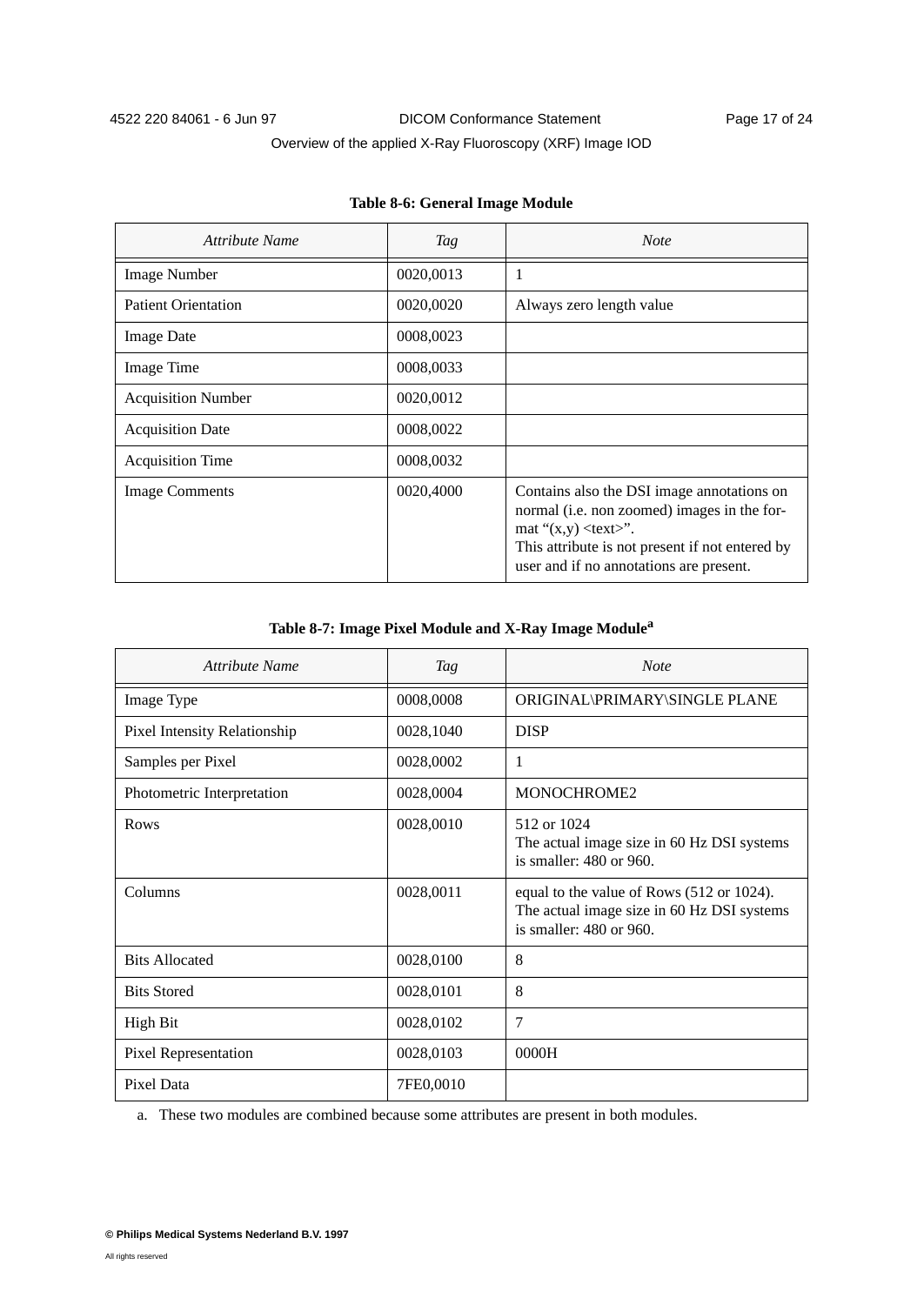| Attribute Name             | Tag       | <b>Note</b>                                                                                                                                                                                                                |
|----------------------------|-----------|----------------------------------------------------------------------------------------------------------------------------------------------------------------------------------------------------------------------------|
| <b>Image Number</b>        | 0020,0013 |                                                                                                                                                                                                                            |
| <b>Patient Orientation</b> | 0020,0020 | Always zero length value                                                                                                                                                                                                   |
| <b>Image Date</b>          | 0008,0023 |                                                                                                                                                                                                                            |
| Image Time                 | 0008,0033 |                                                                                                                                                                                                                            |
| <b>Acquisition Number</b>  | 0020,0012 |                                                                                                                                                                                                                            |
| <b>Acquisition Date</b>    | 0008,0022 |                                                                                                                                                                                                                            |
| <b>Acquisition Time</b>    | 0008,0032 |                                                                                                                                                                                                                            |
| <b>Image Comments</b>      | 0020,4000 | Contains also the DSI image annotations on<br>normal (i.e. non zoomed) images in the for-<br>mat " $(x,y)$ <text>".<br/>This attribute is not present if not entered by<br/>user and if no annotations are present.</text> |

### **Table 8-7: Image Pixel Module and X-Ray Image Modulea**

| Attribute Name               | <b>Tag</b> | <b>Note</b>                                                                                                             |
|------------------------------|------------|-------------------------------------------------------------------------------------------------------------------------|
| Image Type                   | 0008,0008  | ORIGINAL\PRIMARY\SINGLE PLANE                                                                                           |
| Pixel Intensity Relationship | 0028,1040  | <b>DISP</b>                                                                                                             |
| Samples per Pixel            | 0028,0002  | 1                                                                                                                       |
| Photometric Interpretation   | 0028,0004  | MONOCHROME2                                                                                                             |
| Rows                         | 0028,0010  | 512 or 1024<br>The actual image size in 60 Hz DSI systems<br>is smaller: $480$ or $960$ .                               |
| Columns                      | 0028,0011  | equal to the value of Rows (512 or 1024).<br>The actual image size in 60 Hz DSI systems<br>is smaller: $480$ or $960$ . |
| <b>Bits Allocated</b>        | 0028,0100  | 8                                                                                                                       |
| <b>Bits Stored</b>           | 0028,0101  | 8                                                                                                                       |
| <b>High Bit</b>              | 0028,0102  | 7                                                                                                                       |
| Pixel Representation         | 0028,0103  | 0000H                                                                                                                   |
| Pixel Data                   | 7FE0,0010  |                                                                                                                         |

a. These two modules are combined because some attributes are present in both modules.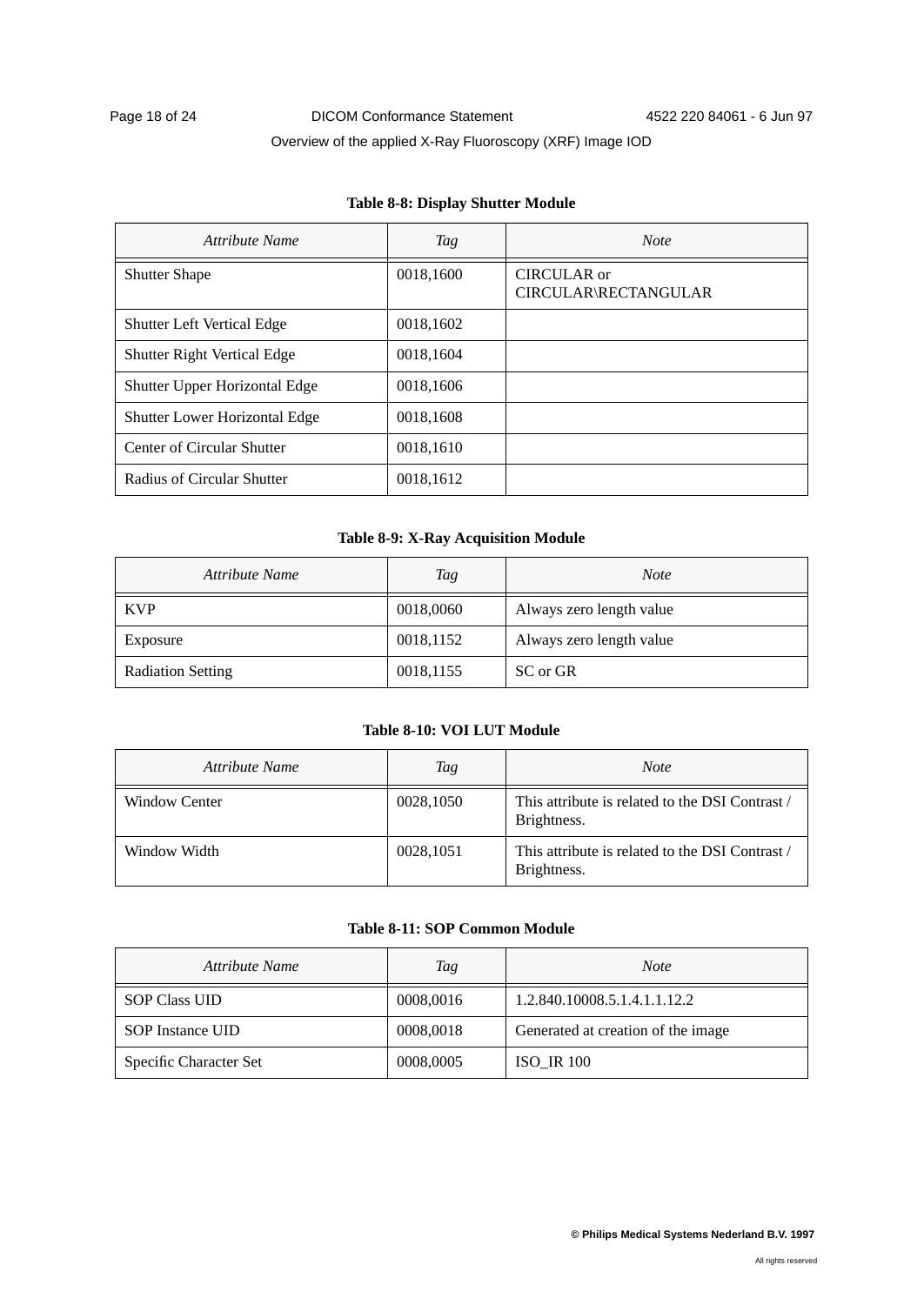| Attribute Name                       | Tag       | <b>Note</b>                         |
|--------------------------------------|-----------|-------------------------------------|
| <b>Shutter Shape</b>                 | 0018,1600 | CIRCULAR or<br>CIRCULAR\RECTANGULAR |
| <b>Shutter Left Vertical Edge</b>    | 0018,1602 |                                     |
| <b>Shutter Right Vertical Edge</b>   | 0018,1604 |                                     |
| Shutter Upper Horizontal Edge        | 0018,1606 |                                     |
| <b>Shutter Lower Horizontal Edge</b> | 0018,1608 |                                     |
| Center of Circular Shutter           | 0018,1610 |                                     |
| Radius of Circular Shutter           | 0018,1612 |                                     |

### **Table 8-8: Display Shutter Module**

### **Table 8-9: X-Ray Acquisition Module**

| Attribute Name           | Tag       | <b>Note</b>              |
|--------------------------|-----------|--------------------------|
| <b>KVP</b>               | 0018,0060 | Always zero length value |
| Exposure                 | 0018,1152 | Always zero length value |
| <b>Radiation Setting</b> | 0018,1155 | SC or GR                 |

### **Table 8-10: VOI LUT Module**

| Attribute Name | Tag       | <b>Note</b>                                                    |
|----------------|-----------|----------------------------------------------------------------|
| Window Center  | 0028,1050 | This attribute is related to the DSI Contrast /<br>Brightness. |
| Window Width   | 0028,1051 | This attribute is related to the DSI Contrast /<br>Brightness. |

### **Table 8-11: SOP Common Module**

| Attribute Name         | Tag       | <i>Note</i>                        |
|------------------------|-----------|------------------------------------|
| <b>SOP Class UID</b>   | 0008,0016 | 1.2.840.10008.5.1.4.1.1.12.2       |
| SOP Instance UID       | 0008,0018 | Generated at creation of the image |
| Specific Character Set | 0008,0005 | <b>ISO IR 100</b>                  |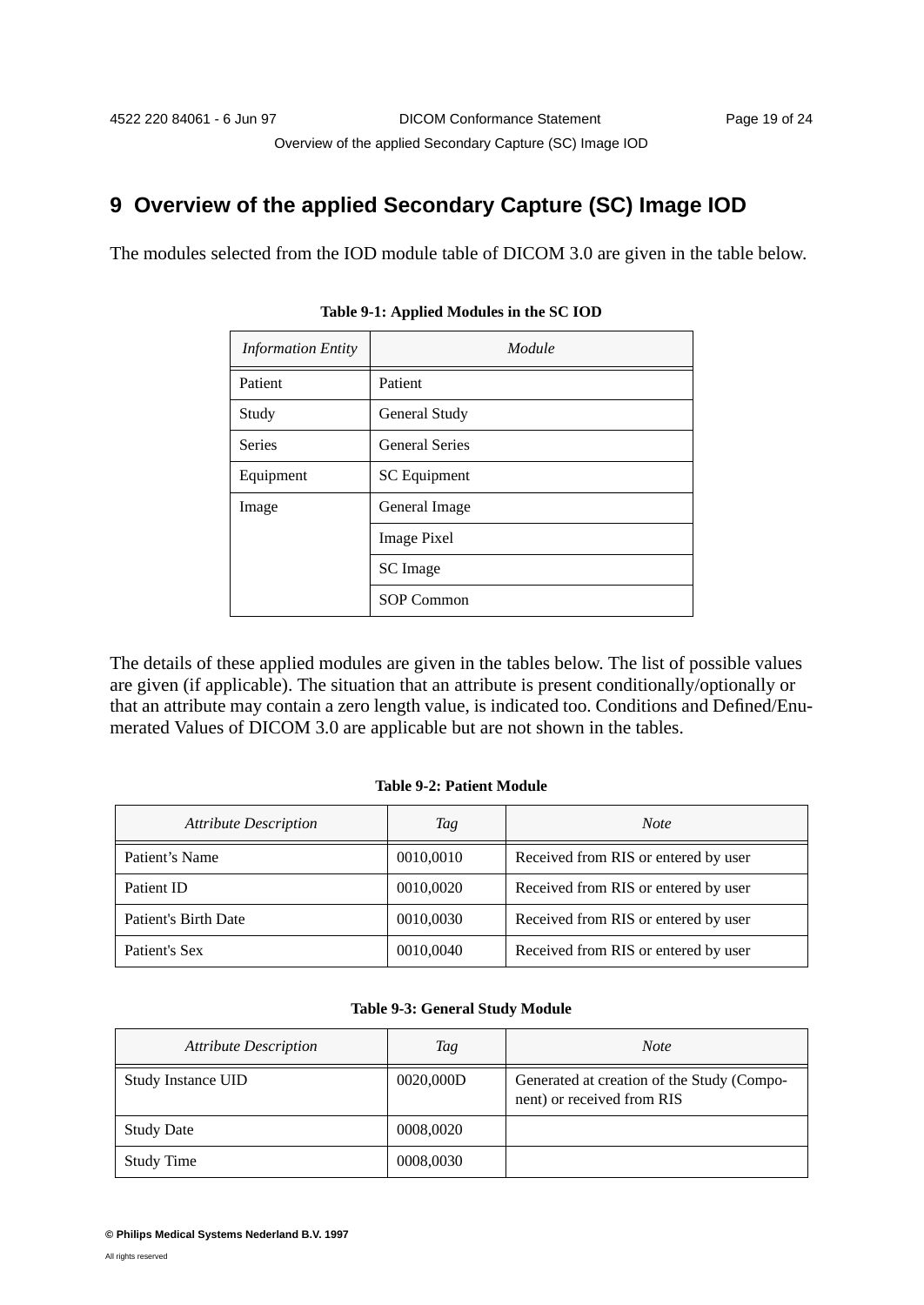# **9 Overview of the applied Secondary Capture (SC) Image IOD**

The modules selected from the IOD module table of DICOM 3.0 are given in the table below.

| <b>Information Entity</b> | Module                |
|---------------------------|-----------------------|
| Patient                   | Patient               |
| Study                     | General Study         |
| <b>Series</b>             | <b>General Series</b> |
| Equipment                 | SC Equipment          |
| Image                     | General Image         |
|                           | <b>Image Pixel</b>    |
|                           | SC Image              |
|                           | <b>SOP Common</b>     |

**Table 9-1: Applied Modules in the SC IOD**

The details of these applied modules are given in the tables below. The list of possible values are given (if applicable). The situation that an attribute is present conditionally/optionally or that an attribute may contain a zero length value, is indicated too. Conditions and Defined/Enumerated Values of DICOM 3.0 are applicable but are not shown in the tables.

### **Table 9-2: Patient Module**

| <b>Attribute Description</b> | Tag       | <b>Note</b>                          |
|------------------------------|-----------|--------------------------------------|
| Patient's Name               | 0010,0010 | Received from RIS or entered by user |
| Patient ID                   | 0010,0020 | Received from RIS or entered by user |
| Patient's Birth Date         | 0010,0030 | Received from RIS or entered by user |
| Patient's Sex                | 0010,0040 | Received from RIS or entered by user |

| <b>Attribute Description</b> | Tag       | Note                                                                     |
|------------------------------|-----------|--------------------------------------------------------------------------|
| Study Instance UID           | 0020,000D | Generated at creation of the Study (Compo-<br>nent) or received from RIS |
| <b>Study Date</b>            | 0008,0020 |                                                                          |
| <b>Study Time</b>            | 0008,0030 |                                                                          |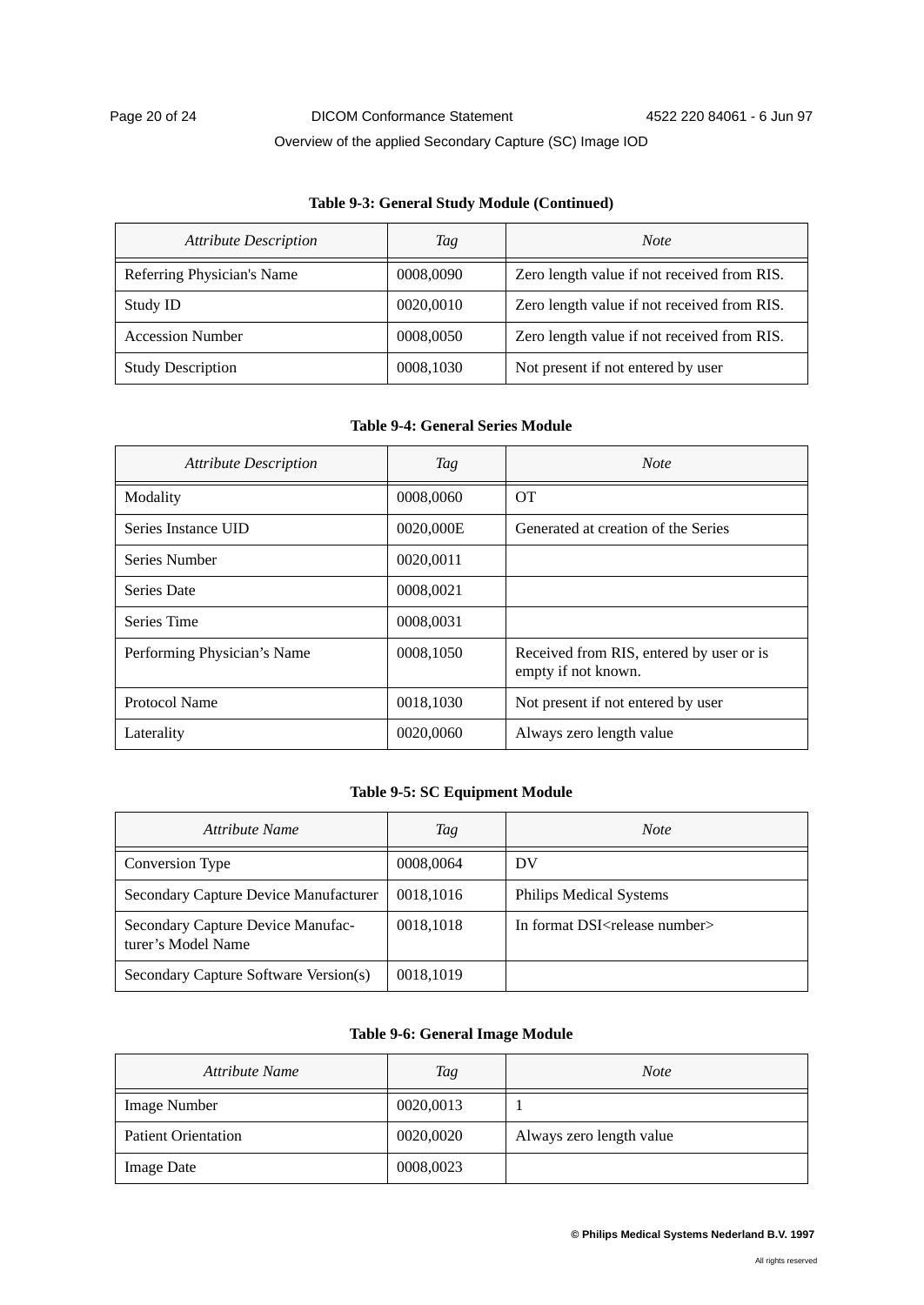#### **Table 9-3: General Study Module (Continued)**

| <b>Attribute Description</b> | Tag       | <b>Note</b>                                 |
|------------------------------|-----------|---------------------------------------------|
| Referring Physician's Name   | 0008,0090 | Zero length value if not received from RIS. |
| Study ID                     | 0020,0010 | Zero length value if not received from RIS. |
| <b>Accession Number</b>      | 0008,0050 | Zero length value if not received from RIS. |
| <b>Study Description</b>     | 0008,1030 | Not present if not entered by user          |

### **Table 9-4: General Series Module**

| <b>Attribute Description</b> | Tag       | <b>Note</b>                                                     |
|------------------------------|-----------|-----------------------------------------------------------------|
| Modality                     | 0008,0060 | <b>OT</b>                                                       |
| Series Instance UID          | 0020,000E | Generated at creation of the Series                             |
| Series Number                | 0020,0011 |                                                                 |
| Series Date                  | 0008,0021 |                                                                 |
| Series Time                  | 0008,0031 |                                                                 |
| Performing Physician's Name  | 0008,1050 | Received from RIS, entered by user or is<br>empty if not known. |
| Protocol Name                | 0018,1030 | Not present if not entered by user                              |
| Laterality                   | 0020,0060 | Always zero length value                                        |

### **Table 9-5: SC Equipment Module**

| Attribute Name                                          | Tag       | <b>Note</b>                                 |
|---------------------------------------------------------|-----------|---------------------------------------------|
| Conversion Type                                         | 0008,0064 | DV                                          |
| Secondary Capture Device Manufacturer                   | 0018,1016 | <b>Philips Medical Systems</b>              |
| Secondary Capture Device Manufac-<br>turer's Model Name | 0018,1018 | In format DSI <release number=""></release> |
| Secondary Capture Software Version(s)                   | 0018,1019 |                                             |

### **Table 9-6: General Image Module**

| Attribute Name             | Tag       | <b>Note</b>              |
|----------------------------|-----------|--------------------------|
| Image Number               | 0020,0013 |                          |
| <b>Patient Orientation</b> | 0020,0020 | Always zero length value |
| <b>Image Date</b>          | 0008,0023 |                          |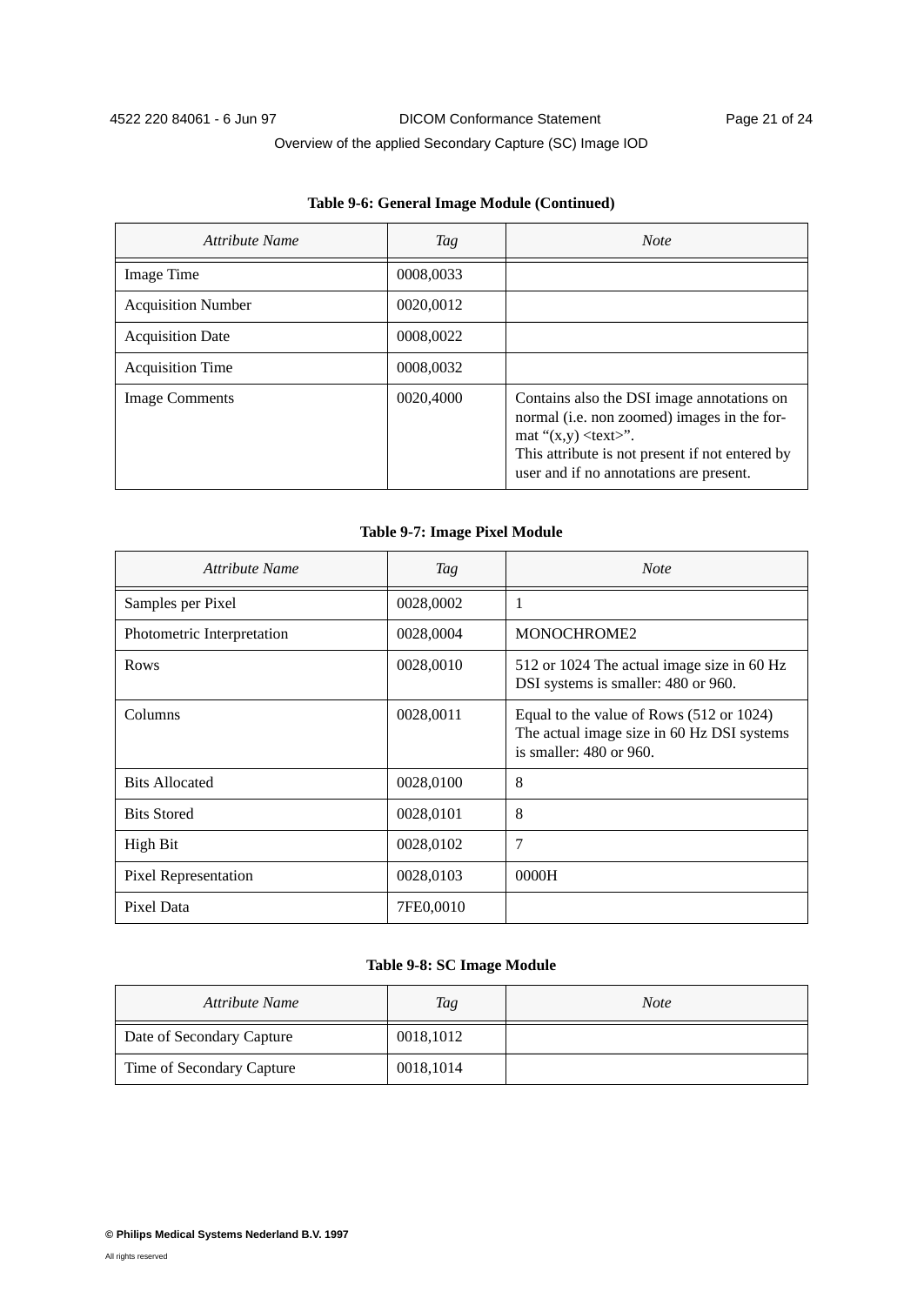### **Table 9-6: General Image Module (Continued)**

| Attribute Name            | Tag       | <b>Note</b>                                                                                                                                                                                                                |
|---------------------------|-----------|----------------------------------------------------------------------------------------------------------------------------------------------------------------------------------------------------------------------------|
| Image Time                | 0008,0033 |                                                                                                                                                                                                                            |
| <b>Acquisition Number</b> | 0020,0012 |                                                                                                                                                                                                                            |
| <b>Acquisition Date</b>   | 0008,0022 |                                                                                                                                                                                                                            |
| <b>Acquisition Time</b>   | 0008,0032 |                                                                                                                                                                                                                            |
| <b>Image Comments</b>     | 0020,4000 | Contains also the DSI image annotations on<br>normal (i.e. non zoomed) images in the for-<br>mat " $(x,y)$ <text>".<br/>This attribute is not present if not entered by<br/>user and if no annotations are present.</text> |

#### **Table 9-7: Image Pixel Module**

| Attribute Name             | Tag       | <b>Note</b>                                                                                                            |
|----------------------------|-----------|------------------------------------------------------------------------------------------------------------------------|
| Samples per Pixel          | 0028,0002 | 1                                                                                                                      |
| Photometric Interpretation | 0028,0004 | MONOCHROME2                                                                                                            |
| Rows                       | 0028,0010 | 512 or 1024 The actual image size in 60 Hz<br>DSI systems is smaller: 480 or 960.                                      |
| Columns                    | 0028,0011 | Equal to the value of Rows (512 or 1024)<br>The actual image size in 60 Hz DSI systems<br>is smaller: $480$ or $960$ . |
| <b>Bits Allocated</b>      | 0028,0100 | 8                                                                                                                      |
| <b>Bits Stored</b>         | 0028,0101 | 8                                                                                                                      |
| High Bit                   | 0028,0102 | 7                                                                                                                      |
| Pixel Representation       | 0028,0103 | 0000H                                                                                                                  |
| Pixel Data                 | 7FE0,0010 |                                                                                                                        |

#### **Table 9-8: SC Image Module**

| Attribute Name            | Tag       | <b>Note</b> |
|---------------------------|-----------|-------------|
| Date of Secondary Capture | 0018,1012 |             |
| Time of Secondary Capture | 0018,1014 |             |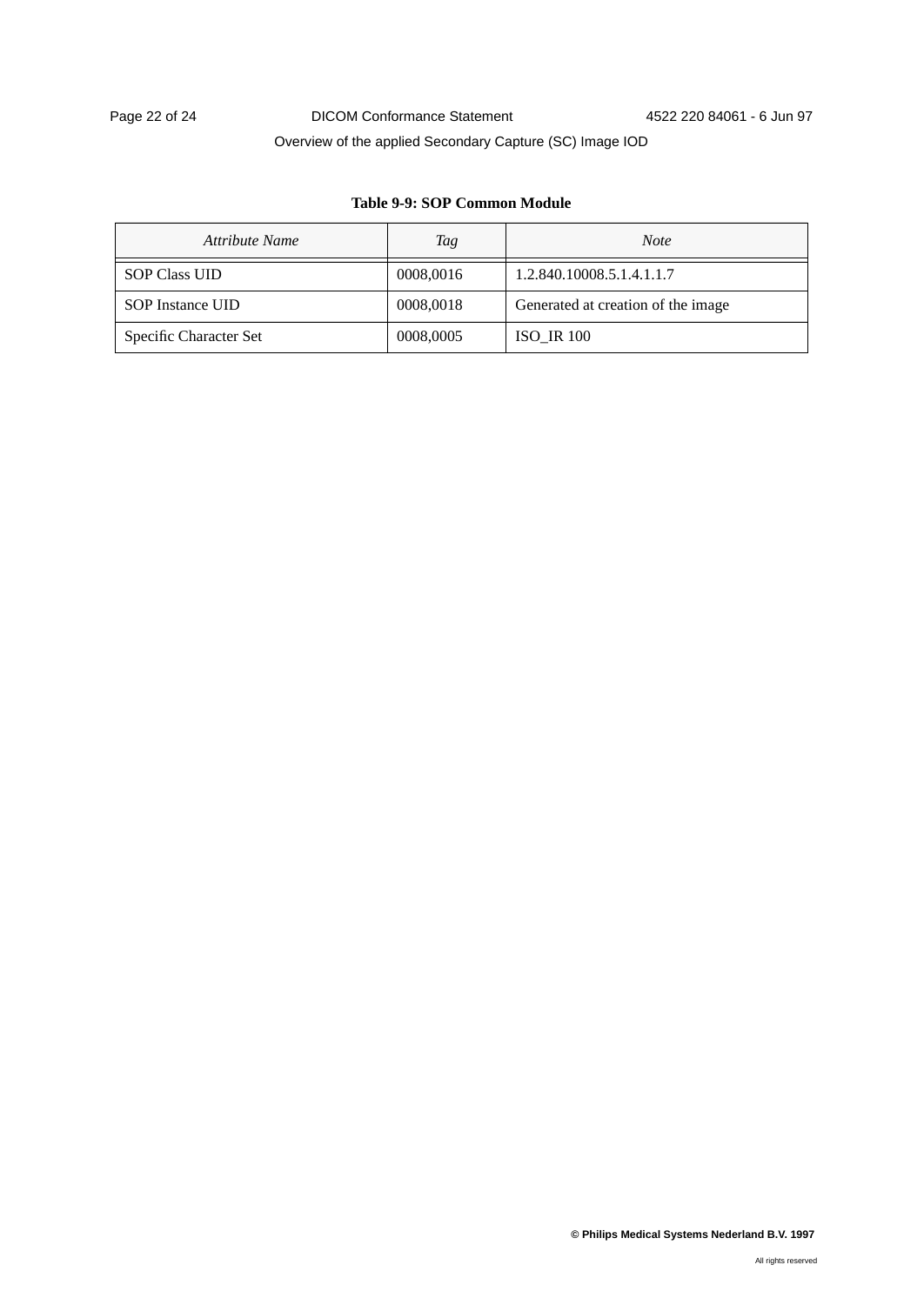### **Table 9-9: SOP Common Module**

| Attribute Name          | Tag       | <b>Note</b>                        |
|-------------------------|-----------|------------------------------------|
| <b>SOP Class UID</b>    | 0008,0016 | 1.2.840.10008.5.1.4.1.1.7          |
| <b>SOP</b> Instance UID | 0008,0018 | Generated at creation of the image |
| Specific Character Set  | 0008,0005 | <b>ISO IR 100</b>                  |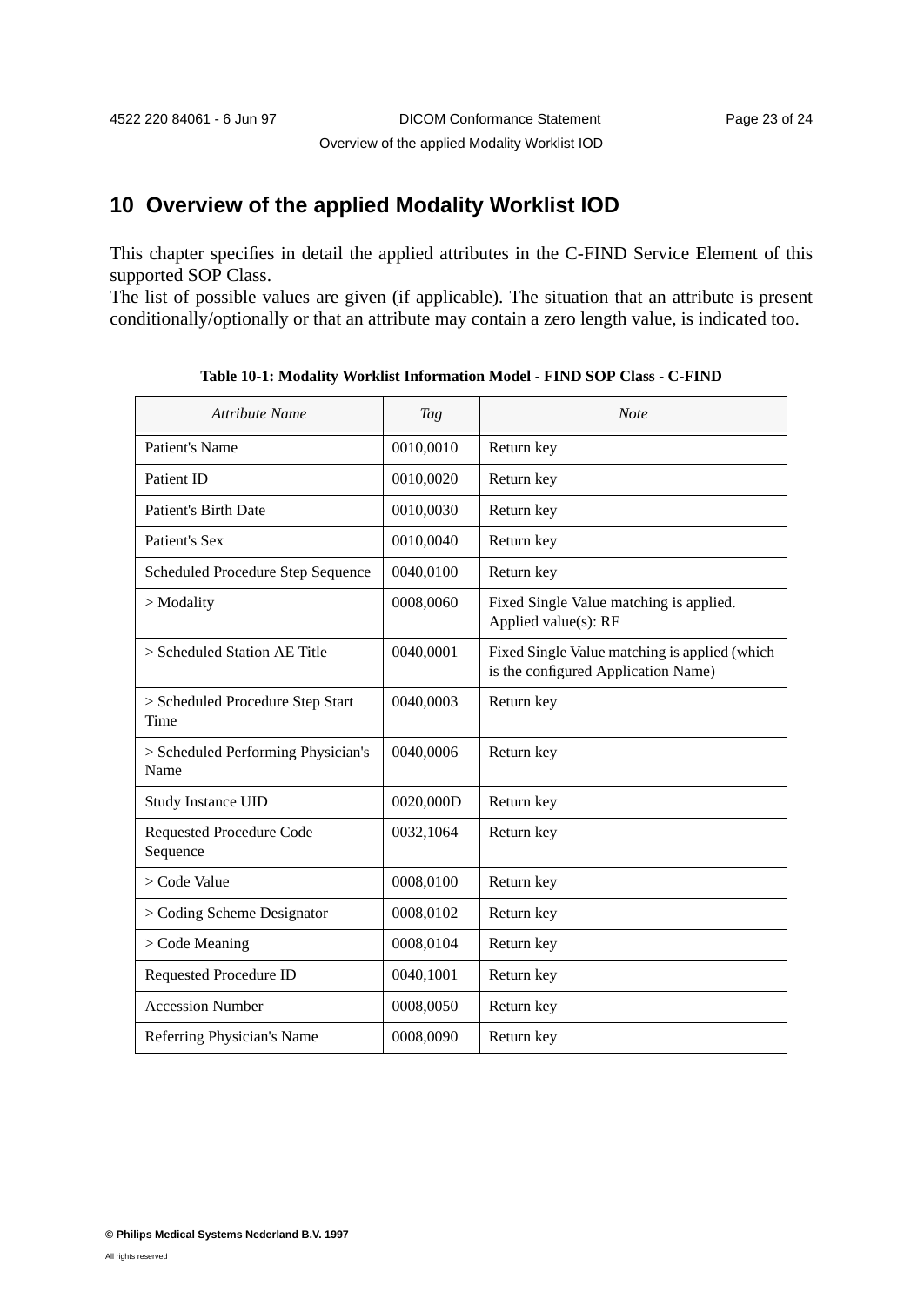# **10 Overview of the applied Modality Worklist IOD**

This chapter specifies in detail the applied attributes in the C-FIND Service Element of this supported SOP Class.

The list of possible values are given (if applicable). The situation that an attribute is present conditionally/optionally or that an attribute may contain a zero length value, is indicated too.

| Attribute Name                              | <b>Tag</b> | <b>Note</b>                                                                          |
|---------------------------------------------|------------|--------------------------------------------------------------------------------------|
| Patient's Name                              | 0010,0010  | Return key                                                                           |
| Patient ID                                  | 0010,0020  | Return key                                                                           |
| <b>Patient's Birth Date</b>                 | 0010,0030  | Return key                                                                           |
| Patient's Sex                               | 0010,0040  | Return key                                                                           |
| Scheduled Procedure Step Sequence           | 0040,0100  | Return key                                                                           |
| $>$ Modality                                | 0008,0060  | Fixed Single Value matching is applied.<br>Applied value(s): RF                      |
| > Scheduled Station AE Title                | 0040,0001  | Fixed Single Value matching is applied (which<br>is the configured Application Name) |
| > Scheduled Procedure Step Start<br>Time    | 0040,0003  | Return key                                                                           |
| > Scheduled Performing Physician's<br>Name  | 0040,0006  | Return key                                                                           |
| Study Instance UID                          | 0020,000D  | Return key                                                                           |
| <b>Requested Procedure Code</b><br>Sequence | 0032,1064  | Return key                                                                           |
| > Code Value                                | 0008,0100  | Return key                                                                           |
| > Coding Scheme Designator                  | 0008,0102  | Return key                                                                           |
| $>$ Code Meaning                            | 0008,0104  | Return key                                                                           |
| Requested Procedure ID                      | 0040,1001  | Return key                                                                           |
| <b>Accession Number</b>                     | 0008,0050  | Return key                                                                           |
| Referring Physician's Name                  | 0008,0090  | Return key                                                                           |

**Table 10-1: Modality Worklist Information Model - FIND SOP Class - C-FIND**